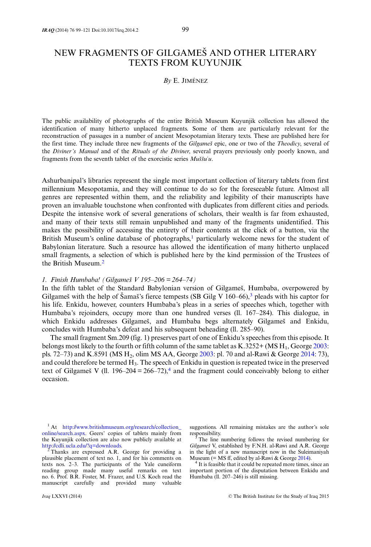# NEW FRAGMENTS OF GILGAMEŠ AND OTHER LITERARY TEXTS FROM KUYUNJIK

## By E. JIMÉNEZ

The public availability of photographs of the entire British Museum Kuyunjik collection has allowed the identification of many hitherto unplaced fragments. Some of them are particularly relevant for the reconstruction of passages in a number of ancient Mesopotamian literary texts. These are published here for the first time. They include three new fragments of the Gilgameš epic, one or two of the Theodicy, several of the Diviner's Manual and of the Rituals of the Diviner, several prayers previously only poorly known, and fragments from the seventh tablet of the exorcistic series  $M\ddot{u}$ ssalizative.

Ashurbanipal's libraries represent the single most important collection of literary tablets from first millennium Mesopotamia, and they will continue to do so for the foreseeable future. Almost all genres are represented within them, and the reliability and legibility of their manuscripts have proven an invaluable touchstone when confronted with duplicates from different cities and periods. Despite the intensive work of several generations of scholars, their wealth is far from exhausted, and many of their texts still remain unpublished and many of the fragments unidentified. This makes the possibility of accessing the entirety of their contents at the click of a button, via the British Museum's online database of photographs, $\frac{1}{2}$  particularly welcome news for the student of Babylonian literature. Such a resource has allowed the identification of many hitherto unplaced small fragments, a selection of which is published here by the kind permission of the Trustees of the British Museum<sup>2</sup>

### 1. Finish Humbaba! (Gilgameš V 195–206 = 264–74)

In the fifth tablet of the Standard Babylonian version of Gilgameš, Humbaba, overpowered by Gilgameš with the help of Šamaš's fierce tempests (SB Gilg V 160–66),<sup>3</sup> pleads with his captor for his life. Enkidu, however, counters Humbaba's pleas in a series of speeches which, together with Humbaba's rejoinders, occupy more than one hundred verses (ll. 167–284). This dialogue, in which Enkidu addresses Gilgameš, and Humbaba begs alternately Gilgameš and Enkidu, concludes with Humbaba's defeat and his subsequent beheading (ll. 285–90).

The small fragment Sm.209 (fig. 1) preserves part of one of Enkidu's speeches from this episode. It belongs most likely to the fourth or fifth column of the same tablet as K.3252+ (MS H1, George [2003:](#page-20-0) pls. 72–73) and K.8591 (MS H2, olim MS AA, George [2003:](#page-20-0) pl. 70 and al-Rawi & George [2014:](#page-19-0) 73), and could therefore be termed  $H_3$ . The speech of Enkidu in question is repeated twice in the preserved text of Gilgameš V (ll. 196–204 =  $266-72$ ),<sup>4</sup> and the fragment could conceivably belong to either occasion.

<sup>1</sup> At [http://www.britishmuseum.org/research/collection\\_](http://www.britishmuseum.org/research/collection_online/search.aspx) [online/search.aspx.](http://www.britishmuseum.org/research/collection_online/search.aspx) Geers' copies of tablets mainly from the Kuyunjik collection are also now publicly available at [http://cdli.ucla.edu/?q=downloads.](http://cdli.ucla.edu/?q=downloads) <sup>2</sup> Thanks are expressed A.R. George for providing a

plausible placement of text no. 1, and for his comments on texts nos. 2–3. The participants of the Yale cuneiform reading group made many useful remarks on text no. 6. Prof. B.R. Foster, M. Frazer, and U.S. Koch read the manuscript carefully and provided many valuable

suggestions. All remaining mistakes are the author's sole responsibility. <sup>3</sup> The line numbering follows the revised numbering for

Gilgameš V, established by F.N.H. al-Rawi and A.R. George in the light of a new manuscript now in the Suleimaniyah Museum (= MS ff, edited by al-Rawi & George  $2014$ ).

 $4$  It is feasible that it could be repeated more times, since an important portion of the disputation between Enkidu and Humbaba (ll. 207–246) is still missing.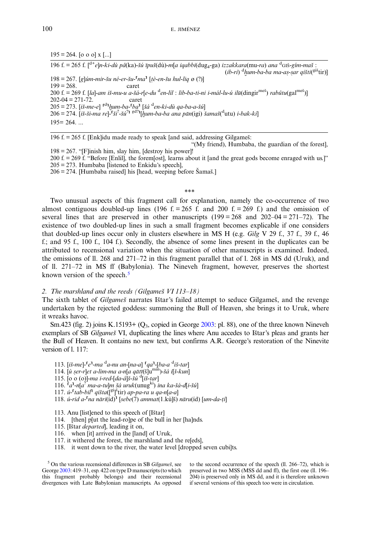$195 = 264.$  [o o o] x [...]

196 f. = 265 f. [<sup>d+</sup>e]n-ki-dù pâ(ka)-šú īpuš(dù)-m[a iqabbi(dug<sub>4</sub>-ga) izzakkara(mu-ra) ana <sup>d</sup>GIš-gim-maš : (ib-ri) <sup>d</sup>hum-ba-ba ma-aṣ-ṣar qišti(<sup>giš</sup>tir)] 198 = 267. [g]úm-mir-šu né-er-šu- $[ma]$  [tè-en-šu hul-liq ø (?)]  $199 = 268.$  caret 200 f. = 269 f. [la]-am iš-mu-u a-šá-r[e-du <sup>d</sup>en-líl : lib-ba-ti-ni i-mál-lu-ú ilū(dingir<sup>meš</sup>) rabûtu(gal<sup>meš</sup>)]  $202-04 = 271-72.$  caret  $205 = 273$ . [iš-me-e]  $^{\text{rd1}}$ hum-ba- $^{\text{rd1}}$  [šá  $^{\text{d}}$ en-ki-dù qa-ba-a-šú]  $206 = 274$ . [iš-ši-ma re]-Īši $^2$ -šú $^2$ ī <sup>[d?</sup>][hum-ba-ba ana pān(igi) šamaš( $^{\rm d}$ utu) i-bak-ki]  $195 = 264$ ...

196 f. = 265 f. [Enk]idu made ready to speak [and said, addressing Gilgameš:

"(My friend), Humbaba, the guardian of the forest],  $198 = 267$ . "[F]inish him, slay him, [destroy his power]!

200 f. = 269 f. "Before [Enlil], the forem[ost], learns about it [and the great gods become enraged with us.]"  $205 = 273$ . Humbaba [listened to Enkidu's speech],

206 = 274. [Humbaba raised] his [head, weeping before Šamaš.]

### \*\*\*

Two unusual aspects of this fragment call for explanation, namely the co-occurrence of two almost contiguous doubled-up lines (196 f. = 265 f. and 200 f. = 269 f.) and the omission of several lines that are preserved in other manuscripts  $(199 = 268$  and  $202-04 = 271-72$ ). The existence of two doubled-up lines in such a small fragment becomes explicable if one considers that doubled-up lines occur only in clusters elsewhere in MS H (e.g. Gilg V 29 f., 37 f., 39 f., 46 f.; and 95 f., 100 f., 104 f.). Secondly, the absence of some lines present in the duplicates can be attributed to recensional variation when the situation of other manuscripts is examined. Indeed, the omissions of ll. 268 and 271–72 in this fragment parallel that of l. 268 in MS dd (Uruk), and of ll. 271–72 in MS ff (Babylonia). The Nineveh fragment, however, preserves the shortest known version of the speech.<sup>5</sup>

### 2. The marshland and the reeds (Gilgameš VI 113–18)

The sixth tablet of Gilgameš narrates Ištar's failed attempt to seduce Gilgameš, and the revenge undertaken by the rejected goddess: summoning the Bull of Heaven, she brings it to Uruk, where it wreaks havoc.

Sm.423 (fig. 2) joins K.15193+  $(Q_3, \text{ copied in George } 2003: \text{pl. } 88)$  $(Q_3, \text{ copied in George } 2003: \text{pl. } 88)$  $(Q_3, \text{ copied in George } 2003: \text{pl. } 88)$ , one of the three known Nineveh exemplars of SB Gilgameš VI, duplicating the lines where Anu accedes to Ištar's pleas and grants her the Bull of Heaven. It contains no new text, but confirms A.R. George's restoration of the Ninevite version of l. 117:

- 113. [iš-me]- $\lceil e^{\mathrm{T}} \cdot e^{\mathrm{T}} \rceil$ -ma  $\lceil \frac{d}{a} \cdot e^{\mathrm{T}} \rceil$ a-a $\lceil \frac{d}{a} \cdot e^{\mathrm{T}} \rceil$ [ba-a $\lceil \frac{d}{b} \cdot e^{\mathrm{T}} \rceil$
- 114.  $\vec{u}$  ser-r let a-lim-ma a-n $\vec{a}$  qātī(š $\vec{u}$ <sup>min</sup>)-šá i[š-kun]
- 115. [o o (o)]-ma i-red-[da-á]š-šú  $d$ [iš-tar]
- 116.  $a^T$ -n[a<sup>?</sup> ma-a-tu]m šá uruk(unug<sup>ki</sup>) ina ka-šá-d[i-šú]
- 117. ú-<sup>r</sup>tab-bil<sup>n</sup> qišta([<sup>gi</sup>]<sup>š</sup>tir) ap-pa-ra u qa-n[a-a]
- 118. ú-rid a- $[na nāri(id)]$  [sebe(7) ammat(1.kù]š) nāru(íd) [um-da-ti]
- 113. Anu [list]ened to this speech of [Ištar]
- 114. [then] p[ut the lead-ro]pe of the bull in her [ha]nds.
- 115. [Ištar departed], leading it on,
- 116. when [it] arrived in the [land] of Uruk,
- 117. it withered the forest, the marshland and the re[eds],
- 118. it went down to the river, the water level [dropped seven cubi]ts.

 $5$  On the various recensional differences in SB Gilgameš, see George [2003](#page-20-0): 419–31, esp. 422 on type D manuscripts (to which this fragment probably belongs) and their recensional divergences with Late Babylonian manuscripts. As opposed to the second occurrence of the speech (ll. 266–72), which is preserved in two MSS (MSS dd and ff), the first one (ll. 196– 204) is preserved only in MS dd, and it is therefore unknown if several versions of this speech too were in circulation.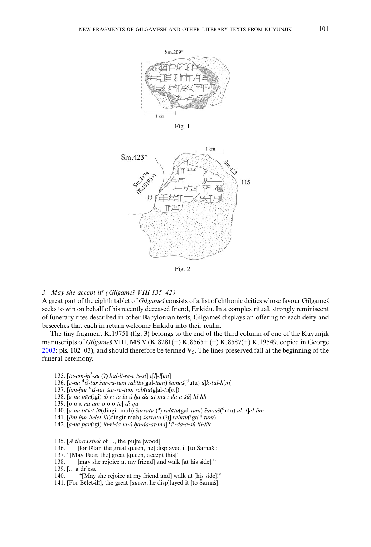

Fig. 1



Fig. 2

### 3. May she accept it! (Gilgameš VIII 135–42)

A great part of the eighth tablet of Gilgameš consists of a list of chthonic deities whose favour Gilgameš seeks to win on behalf of his recently deceased friend, Enkidu. In a complex ritual, strongly reminiscent of funerary rites described in other Babylonian texts, Gilgameš displays an offering to each deity and beseeches that each in return welcome Enkidu into their realm.

The tiny fragment K.19751 (fig. 3) belongs to the end of the third column of one of the Kuyunjik manuscripts of Gilgameš VIII, MS V (K.8281(+) K.8565+ (+) K.8587(+) K.19549, copied in George [2003:](#page-20-0) pls. 102–03), and should therefore be termed  $V<sub>5</sub>$ . The lines preserved fall at the beginning of the funeral ceremony.

- 135.  $[ta-am-bi<sup>2</sup>-su(?) kal-li-re-e is-si] e[1]-[[im]$
- 136. [a-na <sup>d</sup>iš-tar šar-ra-tum rabītu(gal-tum) šamaš(<sup>d</sup>utu) u]k-tal-li[m]
- 137. [lim-hur <sup>d</sup>iš-tar šar-ra-tum rabītu(g]al-tu[m])
- 138. [a-na pān(igi) ib-ri-ia lu-ú ha-da-at-ma i-da-a-šú] lil-lik
- 139. [o o x-na-am ooo te]-di-qa
- 140. [a-na bēlet-ilī(dingir-mah) šarratu (?) rabītu(gal-tum) šamaš(<sup>d</sup>utu) uk-t]al-lim
- 141. [lim-hur bēlet-ilī(dingir-mah) šarratu (?)] rabītu(<sup>r</sup>gal<sup>1</sup>-tum)
- 142. [a-na pān(igi) ib-ri-ia lu-ú ha-da-at-ma] <sup>[†]</sup>-da-a-šú lil-lik
- 135. [A throwstick of ..., the pu]re [wood],
- 136. [for Ištar, the great queen, he] displayed it [to Šamaš]:
- 137. "[May Ištar, the] great [queen, accept this]!<br>138. [may she rejoice at my friend] and wall
- [may she rejoice at my friend] and walk [at his side]!"
- 139. [... a dr]ess.
- 140. "[May she rejoice at my friend and] walk at [his side]!"
- 141. [For Bēlet-ilī], the great [queen, he disp]layed it [to Samaš]: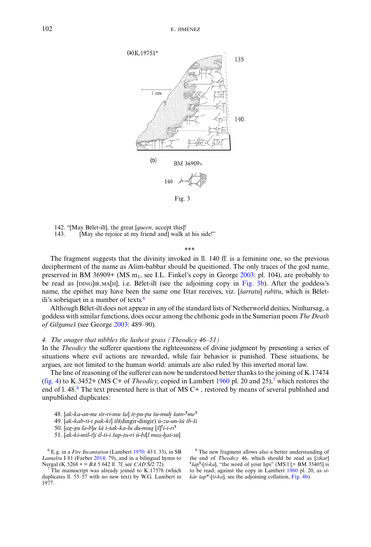<span id="page-3-0"></span>

142. "[May Bēlet-ilī], the great [queen, accept this]!<br>143 [May she rejoice at my friend and] walk [May she rejoice at my friend and] walk at his side!"

\*\*\*

The fragment suggests that the divinity invoked in ll. 140 ff. is a feminine one, so the previous decipherment of the name as Ašim-babbar should be questioned. The only traces of the god name, preserved in BM 36909+ (MS  $m_1$ , see I.L. Finkel's copy in George [2003:](#page-20-0) pl. 104), are probably to be read as [DING]IR.MA[H], i.e. Bēlet-ilī (see the adjoining copy in Fig. 3b). After the goddess's name, the epithet may have been the same one Ištar receives, viz. [*šarratu] rabītu*, which is Bēletili's sobriquet in a number of texts.<sup>6</sup>

Although Bēlet-ilī does not appear in any of the standard lists of Netherworld deities, Ninhursag, a goddess with similar functions, does occur among the chthonic gods in the Sumerian poem The Death of Gilgameš (see George [2003](#page-20-0): 489–90).

### 4. The onager that nibbles the lushest grass (Theodicy 46–51)

In the *Theodicy* the sufferer questions the righteousness of divine judgment by presenting a series of situations where evil actions are rewarded, while fair behavior is punished. These situations, he argues, are not limited to the human world: animals are also ruled by this inverted moral law.

The line of reasoning of the sufferer can now be understood better thanks to the joining of K.17474 [\(fig. 4](#page-4-0)) to K.3452+ (MS C+ of *Theodicy*, copied in Lambert [1960](#page-21-0) pl. 20 and 25),<sup>7</sup> which restores the end of l. 48.8 The text presented here is that of MS C+, restored by means of several published and unpublished duplicates:

- 48. [ak-ka-an-nu sír-ri-mu ša] it-pu-pu šu-muh šam-<sup>r</sup>me<sup>1</sup>
- 49. [ak-kab-ti-i pak-ki] ili(dingir-dingir) ú-zu-un-šú ib-ši
- 50.  $[ag-gu \, la-b]u \, \check{s}a \, i\text{-}tak\text{-}ka\text{-}lu \, du\text{-}muq \, [\check{s}]^{\dagger}i\text{-}i\text{-}ri^{\dagger}$
- 51. [ak-ki-mil-t]i il-ti-i šup-tu-ri ú-bi[l maṣ-ḫat-su]

<sup>6</sup> E.g. in a Fire Incantation (Lambert [1970](#page-21-0): 43 l. 33), in SB Lamaštu I 81 (Farber [2014](#page-19-0): 79), and in a bilingual hymn to<br>Nergal (K.5268 + = BA 5 642 ll. 7f, see CAD S/2 72).

The manuscript was already joined to K.17578 (which duplicates ll. 53–57 with no new text) by W.G. Lambert in 1977.

<sup>8</sup> The new fragment allows also a better understanding of the end of *Theodicy* 46, which should be read as [zikar]  $\int$ <sup>5</sup> $\frac{x}{a}$ <sup>1</sup>-[ti-ka], "the word of your lips" (MS 1 [= BM 35405] is to be read, against the copy in Lambert [1960](#page-21-0) pl. 20, as sì $k\dot{a}r \check{s}ap*$ -[ti-ka], see the adjoining collation, [Fig. 4b](#page-4-0)).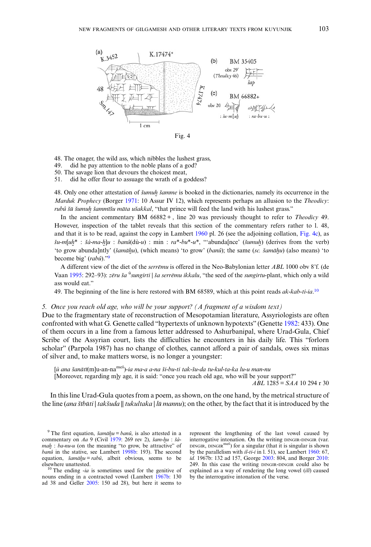<span id="page-4-0"></span>

48. The onager, the wild ass, which nibbles the lushest grass,

- 49. did he pay attention to the noble plans of a god?
- 50. The savage lion that devours the choicest meat, 51. did he offer flour to assuage the wrath of a goddess?

48. Only one other attestation of *šumuh šamme* is booked in the dictionaries, namely its occurrence in the Marduk Prophecy (Borger [1971:](#page-19-0) 10 Assur IV 12), which represents perhaps an allusion to the Theodicy:

rubû šū šumuh šammīšu māta ušakkal, "that prince will feed the land with his lushest grass." In the ancient commentary BM 66882 +, line 20 was previously thought to refer to *Theodicy* 49. However, inspection of the tablet reveals that this section of the commentary refers rather to l. 48, and that it is to be read, against the copy in Lambert [1960](#page-21-0) pl. 26 (see the adjoining collation, Fig. 4c), as  $\delta u$ -m[uh $t^*$  :  $\delta d$ -ma-h̥]u : banû(dù-u) : min : ra\*-bu\*-u\*, ""abunda[nce" ( $\delta u$ muh̥) (derives from the verb) 'to grow abunda]ntly' (šamāhu), (which means) 'to grow' (banû); the same (sc. šamāhu) (also means) 'to become big' (rabû)."<sup>9</sup>

A different view of the diet of the serrēmu is offered in the Neo-Babylonian letter ABL 1000 obv 8'f. (de Vaan [1995:](#page-19-0) 292–93): zēru ša <sup>ú</sup>sungirti | ša serrēmu ikkalu, "the seed of the sungirtu-plant, which only a wild ass would eat."

49. The beginning of the line is here restored with BM 68589, which at this point reads ak-kab-ti-ia.<sup>10</sup>

5. Once you reach old age, who will be your support? (A fragment of a wisdom text)

Due to the fragmentary state of reconstruction of Mesopotamian literature, Assyriologists are often confronted with what G. Genette called "hypertexts of unknown hypotexts" (Genette [1982](#page-20-0): 433). One of them occurs in a line from a famous letter addressed to Ashurbanipal, where Urad-Gula, Chief Scribe of the Assyrian court, lists the difficulties he encounters in his daily life. This "forlorn scholar" (Parpola 1987) has no change of clothes, cannot afford a pair of sandals, owes six minas of silver and, to make matters worse, is no longer a youngster:

[ù ana šanātī(m]u-an-na<sup>meš</sup>)-ia ma-a a-na ši-bu-ti tak-šu-da tu-kul-ta-ka lu-u man-nu [Moreover, regarding m]y age, it is said: "once you reach old age, who will be your support?"

 $ABL$  1285 =  $SAA$  10 294 r 30

In this line Urad-Gula quotes from a poem, as shown, on the one hand, by the metrical structure of the line (ana šībūti | takšuda || tukultaka | lū mannu); on the other, by the fact that it is introduced by the

<sup>9</sup> The first equation, *šamāḥu* = *banû*, is also attested in a commentary on Aa 9 (Civil [1979:](#page-19-0) 269 rev 2), šam-hu : šámah : ba-nu-u (on the meaning "to grow, be attractive" of banû in the stative, see Lambert [1998b:](#page-21-0) 193). The second equation,  $\frac{\dot{s}am\bar{a}hu = rab\hat{u}}{ah}$ , albeit obvious, seems to be elsewhere unattested.

<sup>10</sup> The ending -ia is sometimes used for the genitive of nouns ending in a contracted vowel (Lambert [1967b:](#page-21-0) 130 ad 38 and Geller [2005:](#page-20-0) 150 ad 28), but here it seems to

represent the lengthening of the last vowel caused by interrogative intonation. On the writing DINGIR-DINGIR (var.  $DINGIR$ ,  $DINGIR$ <sup>meš</sup>) for a singular (that it is singular is shown by the parallelism with il-ti-i in l. 51), see Lambert [1960](#page-21-0): 67, id. 1967b: 132 ad 157, George [2003](#page-20-0): 804, and Borger [2010](#page-19-0): 249. In this case the writing DINGIR-DINGIR could also be explained as a way of rendering the long vowel (ilî) caused by the interrogative intonation of the verse.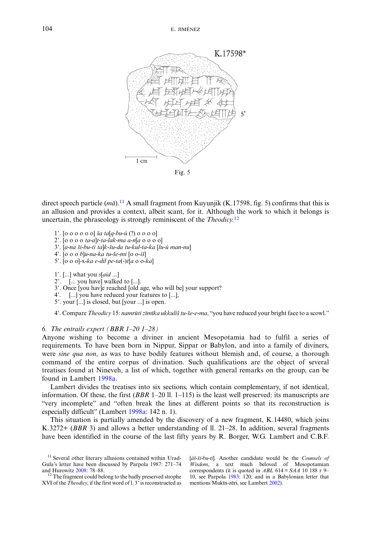

direct speech particle  $(m\bar{a})$ .<sup>11</sup> A small fragment from Kuyunjik (K.17598, fig. 5) confirms that this is an allusion and provides a context, albeit scant, for it. Although the work to which it belongs is uncertain, the phraseology is strongly reminiscent of the *Theodicy*.<sup>12</sup>

- 1'. [0 0 0 0 0 0]  $\check{a}$  ta[q-bu-ú (?) 0 0 0 0]
- $2'$ . [o o o o ta-a]t-ta-lak-ma a-n[a o o o o]
- 3'. [a-na ši-bu-ti ta]k-šu-da tu-kul-ta-ka [lu-ú man-nu]
- 4'. [o o o  $b$ ]u-na-ka tu-še-mi [o o-iš]
- 5'. [o o o]-x-ka e-dil pe-ta(-)t[a o o-ka]
- 1'. [...] what you  $s$ [*aid* ...]
- 2'. [... you have] walked to [...].
- 3'. Once [you hav]e reached [old age, who will be] your support?
- 4'. [...] you have reduced your features to [...],
- 5'. your [...] is closed, but [your ...] is open.

4'. Compare Theodicy 15: namrūti zīmīka ukkuliš tu-še-e-ma, "you have reduced your bright face to a scowl."

### 6. The entrails expert (BBR  $1-20$   $1-28$ )

Anyone wishing to become a diviner in ancient Mesopotamia had to fulfil a series of requirements. To have been born in Nippur, Sippar or Babylon, and into a family of diviners, were *sine qua non*, as was to have bodily features without blemish and, of course, a thorough command of the entire corpus of divination. Such qualifications are the object of several treatises found at Nineveh, a list of which, together with general remarks on the group, can be found in Lambert [1998a.](#page-21-0)

Lambert divides the treatises into six sections, which contain complementary, if not identical, information. Of these, the first  $(BBR 1-20$  ll. 1–115) is the least well preserved: its manuscripts are "very incomplete" and "often break the lines at different points so that its reconstruction is especially difficult" (Lambert [1998a:](#page-21-0) 142 n. 1).

This situation is partially amended by the discovery of a new fragment, K.14480, which joins K.3272+ (BBR 3) and allows a better understanding of ll. 21–28. In addition, several fragments have been identified in the course of the last fifty years by R. Borger, W.G. Lambert and C.B.F.

<sup>12</sup> The fragment could belong to the badly preserved strophe XVI of the *Theodicy*, if the first word of l. 3' is reconstructed as [áš-ši-bu-ti]. Another candidate would be the Counsels of Wisdom, a text much beloved of Mesopotamian correspondents (it is quoted in ABL 614 =  $SAA$  10 188 r 9– 10, see Parpola [1983:](#page-21-0) 120; and in a Babylonian letter that mentions Mukīn-zēri, see Lambert [2002](#page-21-0)).

<sup>&</sup>lt;sup>11</sup> Several other literary allusions contained within Urad-Gula's letter have been discussed by Parpola 1987: 271–74 and Hurowitz 2008: 78–88.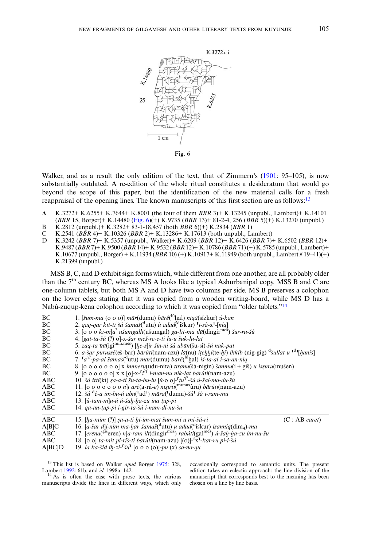



Walker, and as a result the only edition of the text, that of Zimmern's ([1901:](#page-22-0) 95–105), is now substantially outdated. A re-edition of the whole ritual constitutes a desideratum that would go beyond the scope of this paper, but the identification of the new material calls for a fresh reappraisal of the opening lines. The known manuscripts of this first section are as follows:<sup>13</sup>

- A K.3272+ K.6255+ K.7644+ K.8001 (the four of them BBR 3)+ K.13245 (unpubl., Lambert)+ K.14101 (BBR 15, Borger)+ K.14480 (Fig. 6)(+) K.9735 (BBR 13)+ 81-2-4, 256 (BBR 5)(+) K.13270 (unpubl.)
- B K.2812 (unpubl.) + K.3282 + 83-1-18,457 (both BBR 6)(+) K.2834 (BBR 1)
- C K.2541 (*BBR* 4)+ K.10326 (*BBR* 2)+ K.13286+ K.17613 (both unpubl., Lambert)<br>D K.3242 (*BBR* 7)+ K.5357 (unpubl., Walker)+ K.6209 (*BBR* 12)+ K.6426 (*BBR* 7)-
- D K.3242 (BBR 7)+ K.5357 (unpubl., Walker)+ K.6209 (BBR 12)+ K.6426 (BBR 7)+ K.6502 (BBR 12)+ K.9487 (BBR 7)+ K.9500 (BBR 14)+ K.9532 (BBR 12)+ K.10786 (BBR 71) (+) K.5785 (unpubl., Lambert)+ K.10677 (unpubl., Borger) + K.11934 (*BBR* 10) (+) K.10917+ K.11949 (both unpubl., Lambert  $///19-41$ )(+) K.21399 (unpubl.)

MSS B, C, and D exhibit sign forms which, while different from one another, are all probably older than the  $7<sup>th</sup>$  century BC, whereas MS A looks like a typical Ashurbanipal copy. MSS B and C are one-column tablets, but both MS A and D have two columns per side. MS B preserves a colophon on the lower edge stating that it was copied from a wooden writing-board, while MS D has a Nabû-zuqup-kēna colophon according to which it was copied from "older tablets."<sup>14</sup>

| BC        | 1. [šum-ma (o o o)] mār(dumu) bārê( $\frac{d^{i}u}{dt}$ hal) niqâ(sizkur) ú-kan                                          |                         |
|-----------|--------------------------------------------------------------------------------------------------------------------------|-------------------------|
| BC        | 2. gag-gar kit-ti šá šamaš( <sup>d</sup> utu) ù adad( <sup>d</sup> iškur) <sup>r</sup> i-sà-x <sup>1</sup> -[níq]        |                         |
| BC        | 3. [o o o ki-m]a <sup>?</sup> ušumgalli(ušumgal) ga-lit-ma ilū(dingir <sup>meš</sup> ) šur-ru-šú                         |                         |
| BC        | 4. [gat-ta-šú (?) o]-x-šar meš-re-e-ti lu-u šuk-lu-lat                                                                   |                         |
| <b>BC</b> | 5. zag-ta īnī(igi <sup>min.meš</sup> ) [he-s]ir šin-ni šá ubān(šu-si)-šú nak-pat                                         |                         |
| BC        | 6. a-šar purussê(eš-bar) bārûti(nam-azu) lā(nu) itehhi(te-hi) ikkib (níg-gig) <sup>d</sup> šullat u <sup>rd</sup> lhaniš |                         |
| BC        | 7. $[a^1]$ -pa-al šamaš( $d$ utu) mār(dumu) bārê( $d$ nal) iš-ta-al i-sa-an-niq                                          |                         |
| BC        | 8. [o o o o o o o] x immeru(udu-níta) tīrānu(šà-nigin) šamnu(i + giš) u issūru(mušen)                                    |                         |
| BC        | 9. [0 0 0 0 0 0] x x [0]-x- $[i^2]$ <i>i-man-nu nik-lat bārûti</i> (nam-azu)                                             |                         |
| ABC       | 10. šá itti(ki) sa-a-ti šu-ta-bu-lu [ú-o o]- <sup>r</sup> tu <sup>12</sup> -šú ú-šal-ma-du-šú                            |                         |
| ABC       | 11. [o o o o o o o n]i $ar\hat{e}$ (a-rá-e) nisirti( <sup>munus</sup> ùru) $\hat{bar}$ ti(nam-azu)                       |                         |
| ABC       | 12. šá $d\epsilon$ -a im-bu-ú abu( <sup>r</sup> ad <sup>1</sup> ) māra( <sup>r</sup> dumu)-šú <sup>1</sup> šá i-ram-mu   |                         |
| ABC       | 13. [ú-tam-m]u-ú ú-šah-ha-zu ina tup-pi                                                                                  |                         |
| ABC       | 14. ga-an-tup-pi i-gir-ta-šú i-nam-di-nu-šu                                                                              |                         |
| ABC       | 15. [ha-mim (?)] sa-a-ti hi-im-mat šum-mi u mi-šá-ri                                                                     | $(C : AB \text{ care})$ |
| A[B]C     | 16. $[a$ -šar d i-nim ma-har šamaš( $d$ utu) u adad $d$ iškur) isanniq(dim <sub>4</sub> )-ma                             |                         |
| ABC       | 17. [erēna( $e^{i\xi}$ eren) n]a-ram ilī(dingir $m$ eš) rabûti(gal $m$ eš) ú-šah-ha-zu im-nu-šu                          |                         |
| ABC       | 18. [o o] ta-mit pi-riš-ti bārûti(nam-azu) $[(o)]$ - <sup><math>\lceil x \rceil</math></sup> -kar-ru pi-i-šú             |                         |
| A[BC]D    | 19. la ka-šid ih-zi- $\int$ šu <sup>1</sup> [0 0 0 (0)]-pu (x) sa-na-qu                                                  |                         |

<sup>13</sup> This list is based on Walker *apud* Borger [1975](#page-19-0): 328, Lambert 1992: 61b, and *id.* 1998a: 142.

 $14$  As is often the case with prose texts, the various manuscripts divide the lines in different ways, which only

occasionally correspond to semantic units. The present edition takes an eclectic approach: the line division of the manuscript that corresponds best to the meaning has been chosen on a line by line basis.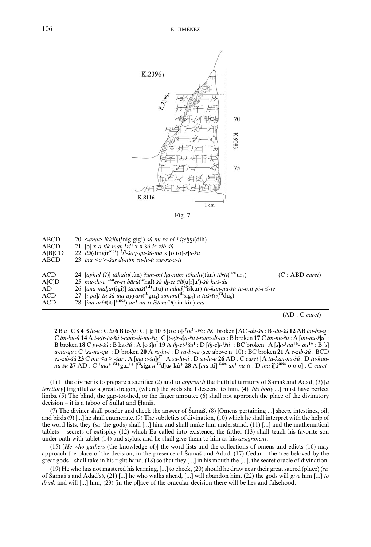



| ABCD<br>ABCD<br>A[ <b>B</b> ]CD<br>ABCD | 20. <ana> ikkibī(<sup>r</sup>níg-gig<sup>1</sup>)-šú-nu ra-bi-i itehhi(díh)<br/>21. [o] x a-lik mah-<math>\lceil r i \rceil</math> x x-šú iz-zib-šú<br/>22. <math>il\bar{u}</math>(dingir<sup>meš</sup>) <sup><math>\bar{t}</math></sup><i>i</i><sup>1</sup>-<i>šaq-qu-šú-ma</i> x [o (o)-<i>r</i>]<i>u-šu</i><br/>23. ina <math>\leq a</math> &gt;-šar di-nim su-lu-ú sur-ra-a-ti</ana>                                                                                                                                                                                                                                     |                          |
|-----------------------------------------|------------------------------------------------------------------------------------------------------------------------------------------------------------------------------------------------------------------------------------------------------------------------------------------------------------------------------------------------------------------------------------------------------------------------------------------------------------------------------------------------------------------------------------------------------------------------------------------------------------------------------|--------------------------|
| ACD<br>A[C]D<br>AD<br>ACD<br>ACD        | 24. [apkal (?)] tākalti(tùn) šum-mi ha-mim tākalti(tùn) têrti( <sup>uzu</sup> ur <sub>5</sub> )<br>25. mu-de-e $^{\text{uzu}}$ er-ri bārû( $^{\text{lu}}$ hal) šá ih-zi ālī(u[r]u <sup>2</sup> )-šú kaš-du<br>26. [ana mahar(igi)] šamaš( <sup>ra</sup> lutu) u adad( <sup>d</sup> iškur) tu-kan-nu-šú ta-mit pi-riš-te<br>27. [ <i>i-pa</i> ] <i>t-tu-šú ina ayyari</i> ( $\frac{d}{dx}$ gu <sub>4</sub> ) simani( $\frac{d}{dx}$ g <sub>4</sub> ) <i>u tašrīti</i> ( $\frac{d}{dx}$ du <sub>6</sub> )<br>28. <i>[ina arhī</i> (iti] <sup>rmeš</sup> ) an <sup>1</sup> -nu-ti ištene <sup>3</sup> <sup>7</sup> (kin-kin)-ma | $(C : ABD \text{ care})$ |

(AD : C caret)

 $2Bu$  : C ù 4 B lu-u : C lu 6 B te-h̥i : C [t]e 10 B [o o o]-<sup>r</sup>tu<sup>1?</sup>-šú : AC broken | AC -du-šu : B -du-šú 12 AB im-bu-u :  $C$  im-bu-ú  $14$  A i-gir-ta-šú i-nam-di-nu-šu :  $C$ [i-gir-t]a-šu i-nam-di-nu : B broken  $17$   $C$  im-nu-šu : A [im-nu-š]u $^2$  : B broken 18 C pi-i-šú : B ka-šú : A [o š]u<sup>?</sup> 19 A ih-zi-<sup>r</sup>šu<sup>1</sup> : D [ih-z]i-<sup>r</sup>šú<sup>1</sup> : BC broken | A [s]a-<sup>r</sup>na<sup>1\*</sup>-<sup>r</sup>qu<sup>1\*</sup> : B [s] a-na-qu : C  $\lceil \text{sa} \text{-}na\text{-}qu \rceil$  : D broken 20 A ra-bi-i : D ra-bi-ia (see above n. 10) : BC broken 21 A e-zib-šú : BCD ez-zib-šú **23** C ina <a > -šar : A [ina a-ša]r.<sup>!?</sup> | A su-lu-ú : D su-lu-u **26** AD : C caret | A tu-kan-nu-šú : D tu-kannu-šu **27** AD : C 「ina\* <sup>iti</sup>\*gu<sub>4</sub>1\* [<sup>iti</sup>sig<sub>4</sub> u <sup>iti</sup>d]u<sub>6</sub>-kù\* **28** A [ina iti]<sup>rmeš</sup> an<sup>1</sup>-nu-ti : D ina i[ti<sup>meš</sup> 0 0 0] : C caret

(1) If the diviner is to prepare a sacrifice (2) and to *approach* the truthful territory of Samaš and Adad, (3) [a territory] frightful as a great dragon, (where) the gods shall descend to him, (4) [his body ...] must have perfect limbs. (5) The blind, the gap-toothed, or the finger amputee (6) shall not approach the place of the divinatory  $decision - it$  is a taboo of Šullat and Haniš.

(7) The diviner shall ponder and check the answer of Šamaš. (8) [Omens pertaining ...] sheep, intestines, oil, and birds (9) [...] he shall enumerate. (9) The subtleties of divination, (10) which he shall interpret with the help of the word lists, they (sc. the gods) shall [...] him and shall make him understand. (11) [...] and the mathematical tablets – secrets of extispicy (12) which Ea called into existence, the father (13) shall teach his favorite son under oath with tablet (14) and stylus, and he shall give them to him as his *assignment*.

(15)  $[He who gathers$  (the knowledge of)] the word lists and the collections of omens and edicts (16) may approach the place of the decision, in the presence of Šamaš and Adad. (17) Cedar – the tree beloved by the great gods – shall take in his right hand, (18) so that they [...] in his mouth the [...], the secret oracle of divination.

(19) He who has not mastered his learning, [...] to check, (20) should he draw near their great sacred (place) (sc. of Šamaš's and Adad's),  $(21)$  [...] he who walks ahead, [...] will abandon him,  $(22)$  the gods will *give* him [...] to drink and will [...] him; (23) [in the pl]ace of the oracular decision there will be lies and falsehood.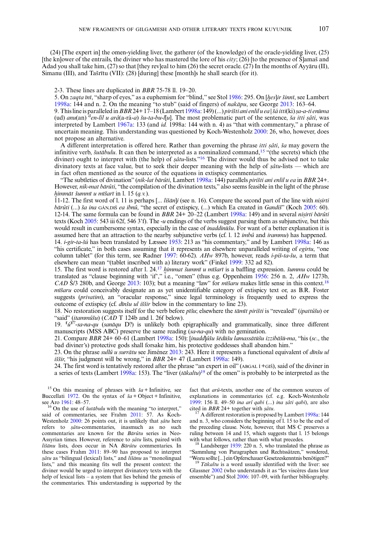(24) [The expert in] the omen-yielding liver, the gatherer (of the knowledge) of the oracle-yielding liver, (25) [the kn]ower of the entrails, the diviner who has mastered the lore of his *city*; (26) [to the presence of Š]amaš and Adad you shall take him, (27) so that [they rev]eal to him (26) the secret oracle. (27) In the months of Ayyāru (II), Simanu (III), and Tašrītu (VII): (28) [during] these [month]s he shall search (for it).

#### 2-3. These lines are duplicated in BBR 75-78 ll. 19–20.

5. On zaqta īnī, "sharp of eyes," as a euphemism for "blind," see Stol [1986](#page-22-0): 295. On [hes]ir šinnī, see Lambert [1998a](#page-21-0): 144 and n. 2. On the meaning "to stub" (said of fingers) of nakāpu, see George [2013:](#page-20-0) 163–64.

9. This line is paralleled in BBR 24+17-18 (Lambert [1998a:](#page-21-0) 149) (...) pirišti ani enlil u ea |šá itti(ki) sa-a-ti enūma (ud) anu(an)  $d$ en-líl u arâ(a-rá-a) šu-ta-bu-l[u]. The most problematic part of the sentence, ša itti sâti, was interpreted by Lambert [1967a:](#page-21-0) 133 (and id. 1998a: 144 with n. 4) as "that with commentary," a phrase of uncertain meaning. This understanding was questioned by Koch-Westenholz [2000:](#page-20-0) 26, who, however, does not propose an alternative.

A different interpretation is offered here. Rather than governing the phrase *itti sâti*, *ša* may govern the infinitive verb, *šutābulu*. It can then be interpreted as a nominalized command,<sup>15</sup> "(the secrets) which (the diviner) ought to interpret with (the help) of  $s\hat{a}tu$ -lists."<sup>16</sup> The diviner would thus be advised not to take divinatory texts at face value, but to seek their deeper meaning with the help of  $s\hat{a}tu$ -lists — which are in fact often mentioned as the source of the equations in extispicy commentaries.

"The subtleties of divination" (nik-lat bārûti, Lambert [1998a:](#page-21-0) 144) parallels pirišti ani enlil u ea in BBR 24+. However, nik-mat bārûti, "the compilation of the divination texts," also seems feasible in the light of the phrase  $h$ *immāt šummī u mīšarī* in 1. 15  $(q, v)$ .

11-12. The first word of l. 11 is perhaps [... lišān]i (see n. 16). Compare the second part of the line with nisirti ̣ bārûti (...) ša ina GÁN.DIŠ ea ibnû, "the secret of extispicy, (...) which Ea created in Gandiš" (Koch [2005:](#page-21-0) 60). 12-14. The same formula can be found in  $BBR$  24+ 20-22 (Lambert [1998a](#page-21-0): 149) and in several *nisirti bārûti* texts (Koch [2005](#page-21-0): 543 iii 62f, 546 3'f). The -u endings of the verbs suggest parsing them as subjunctive, but this would result in cumbersome syntax, especially in the case of *inaddinūšu*. For want of a better explanation it is assumed here that an attraction to the nearby subjunctive verbs (cf. l. 12 imbû and irammu) has happened. 14. i-gir-ta-šú has been translated by Læssøe [1953:](#page-21-0) 213 as "his commentary," and by Lambert [1998a](#page-21-0): 146 as "his certificate," in both cases assuming that it represents an elsewhere unparalleled writing of *egirtu*, "one column tablet" (for this term, see Radner [1997:](#page-21-0) 60-62). AHw 897b, however, reads *i-piš-ta-šu*, a term that elsewhere can mean "(tablet inscribed with a) literary work" (Finkel [1999](#page-20-0): 332 ad 82).

15. The first word is restored after 1. 24.<sup>17</sup> hummat šummī u mīšarī is a baffling expression. šummu could be translated as "clause beginning with 'if'," i.e., "omen" (thus e.g. Oppenheim [1956:](#page-21-0) 256 n. 2, AHw 1273b, CAD Š/3 280b, and George  $2013$ : 103); but a meaning "law" for  $m\bar{x}$ aru makes little sense in this context.<sup>18</sup> mīšaru could conceivably designate an as yet unidentifiable category of extispicy text or, as B.R. Foster suggests (*privatim*), an "oracular response," since legal terminology is frequently used to express the outcome of extispicy (cf. dīnšu ul iššir below in the commentary to line 23).

18. No restoration suggests itself for the verb before pīšu; elsewhere the tāmīt pirišti is "revealed" (ipattûšu) or "said" (itammûšu) (CAD T 124b and l. 26f below).

19.  $\left[ u^{\dagger} \right]$   $\left[ u^{\dagger} \right]$   $\left[ u^{\dagger} \right]$   $\left[ u^{\dagger} \right]$   $\left[ u^{\dagger} \right]$   $\left[ u^{\dagger} \right]$   $\left[ u^{\dagger} \right]$   $\left[ u^{\dagger} \right]$   $\left[ u^{\dagger} \right]$   $\left[ u^{\dagger} \right]$   $\left[ u^{\dagger} \right]$   $\left[ u^{\dagger} \right]$   $\left[ u^{\dagger} \right]$   $\left[ u^{\dagger} \right]$   $\left[ u^{\$ manuscripts (MSS ABC) preserve the same reading (sa-na-qu) with no gemination.

21. Compare BBR 24+ 60-61 (Lambert [1998a:](#page-21-0) 150): [inadd]ûšu šēdūšu lamassātūšu izzibāšū-ma, "his (sc., the bad diviner's) protective gods shall forsake him, his protective goddesses shall abandon him."

23. On the phrase sullû u surrātu see Jiménez [2013](#page-20-0): 243. Here it represents a functional equivalent of dīnšu ul iššir, "his judgment will be wrong," in BBR 24+47 (Lambert [1998a:](#page-21-0) 149).

24. The first word is tentatively restored after the phrase "an expert in oil" (ABGAL Ì+GIŠ), said of the diviner in a series of texts (Lambert [1998a:](#page-21-0) 153). The "liver  $(t \alpha k \alpha l \nu)^{19}$  of the omen" is probably to be interpreted as the

<sup>15</sup> On this meaning of phrases with  $\check{a}a$  + Infinitive, see Buccellati [1972.](#page-19-0) On the syntax of  $\check{s}a$  + Object + Infinitive, see Aro 1961: 48–57.

 $16$  On the use of *šutābulu* with the meaning "to interpret," said of commentaries, see Frahm [2011](#page-20-0): 57. As Koch-Westenholz  $2000$ : 26 points out, it is unlikely that  $s$ *âtu* here refers to *sâtu*-commentaries, inasmuch as no such commentaries are known for the Barûtu series in Neo-Assyrian times. However, reference to sâtu lists, paired with lišānu lists, does occur in NA Bārûtu commentaries. In these cases Frahm [2011:](#page-20-0) 89–90 has proposed to interpret sâtu as "bilingual (lexical) lists," and  $\hat{h} \hat{s}$  and as "monolingual" lists," and this meaning fits well the present context: the diviner would be urged to interpret divinatory texts with the help of lexical lists – a system that lies behind the genesis of the commentaries. This understanding is supported by the

fact that arû-texts, another one of the common sources of explanations in commentaries (cf. e.g. Koch-Westenholz [1999](#page-20-0): 156 ll. 49–50 ina arî qabi  $(...)$  ina sâti qabi), are also cited in *BBR* 24+ together with *sâtu*.

 $17$  A different restoration is proposed by Lambert [1998a](#page-21-0): 144 and n. 3, who considers the beginning of l. 15 to be the end of the preceding clause. Note, however, that MS C preserves a ruling between 14 and 15, which suggests that l. 15 belongs with what follows, rather than with what precedes.

 $18$  Landsberger [1939](#page-21-0): 220 n. 5, who translated the phrase as "Sammlung von Paragraphen und Rechtssätzen," wondered,

 $19$  Tākaltu is a word usually identified with the liver: see Glassner [2002](#page-20-0) (who understands it as "les viscères dans leur ensemble") and Stol [2006](#page-22-0): 107–09, with further bibliography.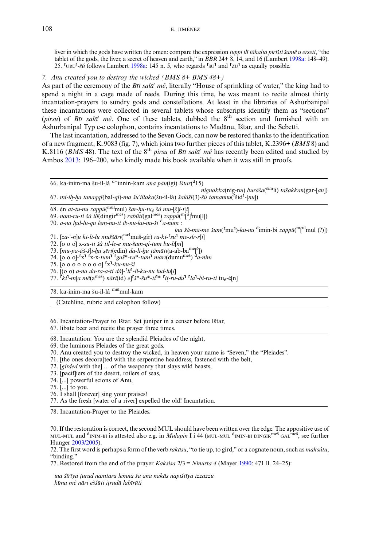liver in which the gods have written the omen: compare the expression tuppi ilī tākalta pirišti šamê u erseti, "the tablet of the gods, the liver, a secret of heaven and earth," in BBR 24+ 8, 14, and 16 (Lambert [1998a:](#page-21-0) 148–49). 25.  $^{\text{t}}$ URU<sup>1</sup>-šú follows Lambert [1998a:](#page-21-0) 145 n. 5, who regards  $^{\text{t}}$ su<sup>1</sup> and  $^{\text{t}}$ zu<sup>1</sup> as equally possible.

7. Anu created you to destroy the wicked  $(BMS 8+ BMS 48+)$ 

As part of the ceremony of the Bīt salā' mê, literally "House of sprinkling of water," the king had to spend a night in a cage made of reeds. During this time, he was meant to recite almost thirty incantation-prayers to sundry gods and constellations. At least in the libraries of Ashurbanipal these incantations were collected in several tablets whose subscripts identify them as "sections" (pirsu) of Bīt salā<sup>'</sup> mê. One of these tablets, dubbed the  $8<sup>th</sup>$  section and furnished with an Ashurbanipal Typ c-e colophon, contains incantations to Madānu, Ištar, and the Sebetti.

The last incantation, addressed to the Seven Gods, can now be restored thanks to the identification of a new fragment, K.9083 (fig. 7), which joins two further pieces of this tablet, K.2396+ (BMS 8) and K.8116 (BMS 48). The text of the 8<sup>th</sup> pirsu of Bīt salā<sup>'</sup> mê has recently been edited and studied by Ambos [2013](#page-19-0): 196–200, who kindly made his book available when it was still in proofs.

- 66. ka-inim-ma šu-íl-lá <sup>d+</sup>innin-kam *ana pān*(igi) *ištar*(<sup>d</sup>15) *.<br>nignakka*(níg-na) *burāša*(<sup>šim</sup>li) tašakkan(gar-[an]) 67. mi-iḫ-ḫa tanaqqī(bal-qí)-ma šuʾillaka(šu-íl-lá) šalāšī(3)-šú tamannu(<sup>r</sup>šid<sup>1</sup>-[nu])
- 68. én *at-tu-nu zappū*( $mul$ mul) *šar-hū-tu<sub>4</sub> šá mu-*[š]*i-t*[*i*]
- 69. nam-ru-ti šá il $\bar{a}$ (dingir<sup>meš</sup>) rabûti(gal<sup>meš</sup>) zappū(<sup>m</sup>[<sup>u</sup>]<sup>1</sup>mu[l])
- 70. a-na hul-lu-qu lem-nu-ti ib-nu-ku-nu-ši <sup>d</sup>a-num :
- ina šá-ma-me šum(<sup>r</sup>mu<sup>1</sup>)-ku-nu <sup>d</sup>imin-bi zappū(<sup>m</sup>[<sup>ul</sup>mul (?)])
- 71. [za-ʾ-n]u ki-li-lu muššāri(<sup>na4</sup>muš-gír) ra-ki-「su<sup>1</sup> me-sír-r[i]
- 72. [o o o] x-su-ti šá til-le-e mu-šam-qí-tum bu-li[m]
- 73. [mu-pa-áš-š]i-hu sēri(edin) da-li-hu tâmāti(a-ab-ba<sup>me</sup>[<sup>š</sup>])
- 74. [o o o]- $f_x$ <sup>1</sup>  $f_x$ -x-tum<sup>1</sup>  $fga\check{s}^*$ -ru $*$ -tum<sup>1</sup> mārī(dumu<sup>meš</sup>)  $\overset{d}{a}$ -nim
- 75.  $\left[0 0 0 0 0 0 0\right]$   $\left[x\right]$ - $\left[x\right]$
- 76.  $($ o o) a-na da-ra-a-ti dà $]$ -<sup>[</sup>lí]-lí-ku-nu lud-lu $[$ l]
- 77. <sup>Ī</sup>ki<sup>1</sup>-m[a mê(a<sup>meš</sup>) nāri(id) e]<sup>r</sup>š\*-šu\*-ti<sup>1</sup>\* <sup>r</sup>it-ru-du<sup>1 r</sup>la<sup>1</sup>-bi-ru-ti tu<sub>6</sub>-é[n]

78. ka-inim-ma šu-íl-lá <sup>mul</sup>mul-kam

(Catchline, rubric and colophon follow)

66. Incantation-Prayer to Ištar. Set juniper in a censer before Ištar,

67. libate beer and recite the prayer three times.

- 68. Incantation: You are the splendid Pleiades of the night,
- 69. the luminous Pleiades of the great gods.
- 70. Anu created you to destroy the wicked, in heaven your name is "Seven," the "Pleiades".
- 71. [the ones decora]ted with the serpentine headdress, fastened with the belt,
- 72. [girded with the] ... of the weaponry that slays wild beasts,
- 73. [pacif]iers of the desert, roilers of seas,
- 74. [...] powerful scions of Anu,
- 75. [...] to you.
- 76. I shall [forever] sing your praises!
- 77. As the fresh [water of a river] expelled the old! Incantation.

78. Incantation-Prayer to the Pleiades.

70. If the restoration is correct, the second MUL should have been written over the edge. The appositive use of MUL-MUL and  $d_{\text{INIM-BI}}$  is attested also e.g. in *Mulapin* I i 44 (MUL-MUL  $d_{\text{IMIN-BI DINGIR}}^{\text{meV}}$  GAL  $\text{meV}$ ), see further Hunger [2003/2005\)](#page-20-0).

72. The first word is perhaps a form of the verb rakāsu, "to tie up, to gird," or a cognate noun, such as maksûtu, "binding."

77. Restored from the end of the prayer *Kaksisa*  $2/3 = Ninurta 4$  (Mayer [1990](#page-21-0): 471 ll. 24–25):

ina šīrīya turud namtara lemna ša ana nakās napištīya izzazzu kīma mê nāri eššūti itrudū labīrūti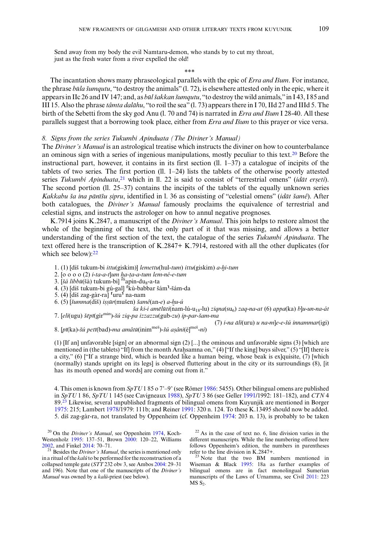Send away from my body the evil Namtaru-demon, who stands by to cut my throat, just as the fresh water from a river expelled the old!

#### \*\*\*

The incantation shows many phraseological parallels with the epic of *Erra and Išum*. For instance, the phrase būla šumqutu, "to destroy the animals" (1.72), is elsewhere attested only in the epic, where it appears in IIc 26 and IV 147; and, as *būl šakkan šumqutu*, "to destroy the wild animals," in I43, I85 and III 15. Also the phrase tâmta dalāhu, "to roil the sea" (l. 73) appears there in I 70, IId 27 and IIId 5. The birth of the Sebetti from the sky god Anu (l. 70 and 74) is narrated in Erra and Išum I 28-40. All these parallels suggest that a borrowing took place, either from Erra and Išum to this prayer or vice versa.

### 8. Signs from the series Tukumbi Apinduata (The Diviner's Manual)

The Diviner's Manual is an astrological treatise which instructs the diviner on how to counterbalance an ominous sign with a series of ingenious manipulations, mostly peculiar to this text.<sup>20</sup> Before the instructional part, however, it contains in its first section (ll. 1–37) a catalogue of incipits of the tablets of two series. The first portion (ll. 1–24) lists the tablets of the otherwise poorly attested series Tukumbi Apinduata,<sup>21</sup> which in ll. 22 is said to consist of "terrestrial omens" (idāt erseti). The second portion (ll. 25–37) contains the incipits of the tablets of the equally unknown series Kakkabu ša ina pānīšu sipru, identified in l. 36 as consisting of "celestial omens" (idāt šamê). After both catalogues, the *Diviner's Manual* famously proclaims the equivalence of terrestrial and celestial signs, and instructs the astrologer on how to annul negative prognoses.

K.7914 joins K.2847, a manuscript of the *Diviner's Manual*. This join helps to restore almost the whole of the beginning of the text, the only part of it that was missing, and allows a better understanding of the first section of the text, the catalogue of the series Tukumbi Apinduata. The text offered here is the transcription of K.2847+ K.7914, restored with all the other duplicates (for which see below):<sup>22</sup>

- 1. (1) [diš tukum-bi ittu(giskim)] lemettu(hul-tum) ittu(giskim) a-hi-tum
- 2. [o o o o (2) i-ta-a-t]um ḫa-ta-a-tum lem-né-e-tum
- 3. [šá libbū(šà) tukum-bi]  $\frac{\pi}{2}$ apin-du<sub>8</sub>-a-ta
- 4. (3) [diš tukum-bi gú-gal] <sup>r</sup>kù-babbar šám<sup>1</sup>-šám-da
- 5. (4) [diš zag-gàr-ra] <sup>r</sup>uru<sup>1</sup> na-nam
- 6. (5) [šumma(diš) issūr(mušen) šamê(an-e) a-hu-ú
- ša ki-i amēlūti(nam-lú-u<sub>18</sub>-lu) ziqna(su<sub>6</sub>) zaq-na-at (6) appa(ka) b]u-un-na-át 7. [eli(ugu) šēpī(gìrmin)-šú ziq-pa izzazzu(gub-zu) ip-par-šam-ma

(7) i-na āli(uru) u na-m]e-e-šú innammar(igi)

8. [pī(ka)-šú petī(bad)-ma amâtū(inim<sup>meš</sup>)-šú asâni(è]<sup>meš</sup>-ni)

(1) [If an] unfavorable [sign] or an abnormal sign (2) [...] the ominous and unfavorable signs (3) [which are mentioned in (the tablets) "If] from the month Arahsamna on," (4) ["If the king] buys silver," (5) "[If] there is a city," (6) ["If a strange bird, which is bearded like a human being, whose beak is ex]quisite, (7) [which (normally) stands upright on its legs] is observed fluttering about in the city or its surroundings (8), [it has its mouth opened and words] are coming out from it."

4. This omen is known from  $SpTU$  1 85 o 7'–9' (see Römer [1986:](#page-22-0) 5455). Other bilingual omens are published in  $SpTU$  1 86,  $SpTU$  1 145 (see Cavigneaux [1988](#page-19-0)),  $SpTU$  3 86 (see Geller [1991](#page-20-0)/1992: 181–182), and CTN 4 89.23 Likewise, several unpublished fragments of bilingual omens from Kuyunjik are mentioned in Borger [1975:](#page-19-0) 215; Lambert [1978](#page-21-0)/1979: 111b; and Reiner [1991](#page-21-0): 320 n. 124. To these K.13495 should now be added. 5. diš zag-gàr-ra, not translated by Oppenheim (cf. Oppenheim [1974:](#page-21-0) 203 n. 13), is probably to be taken

<sup>20</sup> On the Diviner's Manual, see Oppenheim [1974,](#page-21-0) Koch-Westenholz [1995](#page-20-0): 137–51, Brown [2000](#page-19-0): 120–22, Williams 2002, and Finkel 2014: 70–71.

 $21$  Besides the *Diviner's Manual*, the series is mentioned only in a ritual of the kalû to be performed for the reconstruction of a collapsed temple gate (STT 232 obv 3, see Ambos [2004:](#page-19-0) 29–31 and 196). Note that one of the manuscripts of the Diviner's Manual was owned by a kalû-priest (see below).

 $22$  As in the case of text no. 6, line division varies in the different manuscripts. While the line numbering offered here follows Oppenheim's edition, the numbers in parentheses refer to the line division in K.2847+.

 $23$  Note that the two BM numbers mentioned in Wiseman & Black [1995:](#page-22-0) 18a as further examples of bilingual omens are in fact monolingual Sumerian manuscripts of the Laws of Urnamma, see Civil [2011:](#page-19-0) 223  $MS S<sub>2</sub>$ .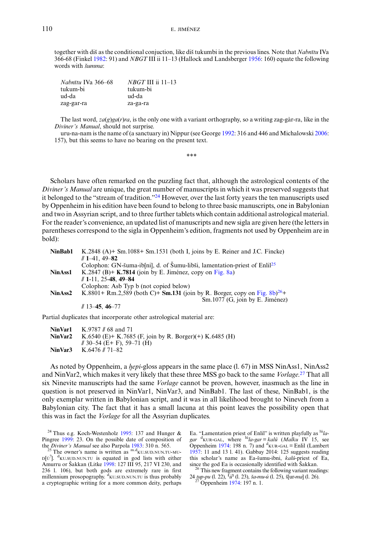together with diš as the conditional conjuction, like diš tukumbi in the previous lines. Note that Nabnītu IVa 366-68 (Finkel [1982:](#page-20-0) 91) and NBGT III ii 11–13 (Hallock and Landsberger [1956:](#page-20-0) 160) equate the following words with šumma:

| Nabnītu IVa 366–68 | $NBGT$ III ii 11–13 |
|--------------------|---------------------|
| tukum-bi           | tukum-bi            |
| ud-da              | ud-da               |
| zag-gar-ra         | za-ga-ra            |

The last word,  $z a(g) g a(r) r a$ , is the only one with a variant orthography, so a writing zag-gàr-ra, like in the Diviner's Manual, should not surprise.

uru-na-nam is the name of (a sanctuary in) Nippur (see George [1992](#page-20-0): 316 and 446 and Michalowski [2006](#page-21-0): 157), but this seems to have no bearing on the present text.

\*\*\*

Scholars have often remarked on the puzzling fact that, although the astrological contents of the Diviner's Manual are unique, the great number of manuscripts in which it was preserved suggests that it belonged to the "stream of tradition."<sup>24</sup> However, over the last forty years the ten manuscripts used by Oppenheim in his edition have been found to belong to three basic manuscripts, one in Babylonian and two in Assyrian script, and to three further tablets which contain additional astrological material. For the reader's convenience, an updated list of manuscripts and new sigla are given here (the letters in parentheses correspond to the sigla in Oppenheim's edition, fragments not used by Oppenheim are in bold):

| NinBab1 | K.2848 $(A)$ + Sm.1088+ Sm.1531 (both I, joins by E. Reiner and J.C. Fincke)          |
|---------|---------------------------------------------------------------------------------------|
|         | $\#$ 1–41, 49–82                                                                      |
|         | Colophon: GN-šuma-ib[ni], d. of Šumu-libši, lamentation-priest of Enlil <sup>25</sup> |
| NinAss1 | K.2847 (B)+ K.7814 (join by E. Jiménez, copy on Fig. 8a)                              |
|         | $\#$ 1-11, 25-48, 49-84                                                               |
|         | Colophon: Asb Typ b (not copied below)                                                |
| NinAss2 | K.8801+ Rm.2,589 (both C)+ Sm.131 (join by R. Borger, copy on Fig. 8b) <sup>26+</sup> |
|         | Sm.1077 (G, join by E. Jiménez)                                                       |
|         | $\#$ 13–45, 46–77                                                                     |

Partial duplicates that incorporate other astrological material are:

| NinVar1 | K.9787 // 68 and 71                                     |
|---------|---------------------------------------------------------|
| NinVar2 | K.6540 (E)+ K.7685 (F, join by R. Borger)(+) K.6485 (H) |
|         | $\#$ 30–54 (E+ F), 59–71 (H)                            |
| NinVar3 | K.6476 $\parallel$ 71–82                                |

As noted by Oppenheim, a *hepi-*gloss appears in the same place (l. 67) in MSS NinAss1, NinAss2 and NinVar2, which makes it very likely that these three MSS go back to the same Vorlage.<sup>27</sup> That all six Ninevite manuscripts had the same Vorlage cannot be proven, however, inasmuch as the line in question is not preserved in NinVar1, NinVar3, and NinBab1. The last of these, NinBab1, is the only exemplar written in Babylonian script, and it was in all likelihood brought to Nineveh from a Babylonian city. The fact that it has a small lacuna at this point leaves the possibility open that this was in fact the Vorlage for all the Assyrian duplicates.

<sup>24</sup> Thus e.g. Koch-Westenholz [1995:](#page-20-0) 137 and Hunger  $\&$ Pingree [1999:](#page-20-0) 23. On the possible date of composition of the *Diviner's Manual* see also Parpola [1983:](#page-21-0) 310 n. 565. <sup>25</sup> The owner's name is written as  $^{m.d}$ KU.SUD.NUN.TU-MU-

 $D[\dot{U}^2]$ . <sup>d</sup>KU.SUD.NUN.TU is equated in god lists with either Amurru or Šakkan (Litke [1998](#page-21-0): 127 III 95, 217 VI 230, and 236 l. 106), but both gods are extremely rare in first millennium prosopography. <sup>d</sup>ku.sup.NUN.TU is thus probably a cryptographic writing for a more common deity, perhaps

Ea. "Lamentation priest of Enlil" is written playfully as  $\frac{16}{a}$ gar  $d_{\text{KUR-GAL}}$ , where  $d_{\text{U}} = k a l \hat{u}$  (*Malku* IV 15, see Oppenheim [1974](#page-21-0): 198 n. 7) and  ${}^d$ <sub>KUR</sub>-GAL = Enlil (Lambert [1957](#page-21-0): 11 and 13 l. 41). Gabbay 2014: 125 suggests reading this scholar's name as Ea-šumu-ibni,  $kali4$ -priest of Ea, since the god Ea is occasionally identified with Šakkan.

 $26$  This new fragment contains the following variant readings: 24 tup-pu (l. 22),  $\frac{\tau_{ii}}{u}$  (l. 23), *ša-mu-u* (l. 25), š[ur-*ma*] (l. 26). <sup>27</sup> Oppenheim [1974:](#page-21-0) 197 n. 1.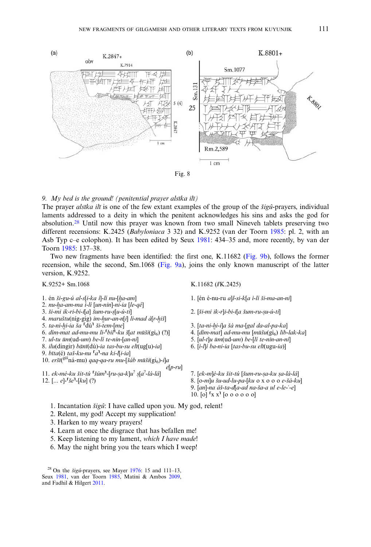<span id="page-12-0"></span>

### 9. My bed is the ground! (penitential prayer alsīka ilī)

The prayer *alsīka ilī* is one of the few extant examples of the group of the *šigû*-prayers, individual laments addressed to a deity in which the penitent acknowledges his sins and asks the god for absolution.<sup>28</sup> Until now this prayer was known from two small Nineveh tablets preserving two different recensions: K.2425 (Babyloniaca 3 32) and K.9252 (van der Toorn [1985](#page-22-0): pl. 2, with an Asb Typ c–e colophon). It has been edited by Seux [1981:](#page-22-0) 434–35 and, more recently, by van der Toorn [1985:](#page-22-0) 137–38.

Two new fragments have been identified: the first one, K.11682 ([Fig. 9b](#page-13-0)), follows the former recension, while the second, Sm.1068 [\(Fig. 9a](#page-13-0)), joins the only known manuscript of the latter version, K.9252.

# K.9252+ Sm.1068 K.11682 (//K.2425)

1. én ši-gu-ú al-s[i-ka ì]-lí nu-[ha-am]

2. nu-ḫ a-am-ma ì-lí [un-nin]-ni-ia [le-qé]

- 4. maruštu(níg-gig) im-h̥ur-an-n[i] li-mad á[r-h̥iš]
- 

6. *dim-mat ad-mu-mu li*<sup>-1</sup>*bil*<sup>-1</sup>*ku* 
$$
\{at mi\} \{gi_6\}
$$
 (?)   
4.  $\left[\text{dim-mat}\right] \, ad-mu-mu \left[\text{mi\} \{u\} \right]$  *lib-lak-ka*   
7. *ul-tu*  $\overline{u}m(ud-um) \, be-li \, te-nin-\overline{an-ni}$ 

- 
- 8. ilu(dingir) bānī(dù)-ia tas-bu-su elī(ug[u)-ia] 6. [ì-l]í ba-ni-ia [tas-bu-su elī(ugu-ia)]
- 9. bīta(é) taš-ku-nu  $[a]$ -na ki-l[i-ia]
- 10. eršī $(\text{e}^{\text{i} \text{si}}$ ná-mu) qaq-qa-ru mu- $[\text{i} \text{d} b \text{ m}$ ūši $(\text{gi}_6)$ -i]a

```
e[p\n-ru]
```
11. ek-mé-ku šit-tú 「šúm<sup>1</sup>-[ru-ṣa-k]u<sup>?</sup> ṣ[a<sup>2</sup>-lá-lá]<br>12. [... e]-<sup>[</sup>še<sup>1</sup>-[ku] (?)

- 1. [én é-nu-ru a]l-si-k[a ì-lí ši-ma-an-ni]
- $3.$  ši-mi ik-ri-bi-i[a] šum-ru-s[u-ú-ti]  $2.$  [ši-mi ik-r]i-bi-i[a šum-ru-su-ú-ti]
- 5. ta-ni-hi-ia ša <sup>[du]</sup> ši-tem-[me] 3. [ta-ni-hi-i]a šá ma-[gal da-al-pa-ka]
	-
	- 5.  $\lceil ul-t \rceil u \bar{u}m(\text{ud-}um)$  be- $\lceil li \text{te-}nim-an-ni \rceil$
	-

7. [ek-m]é-ku šit-tú [šum-ru-sa-ku sa-lá-lá]

- 8. [o-m]u šu-ud-lu-pa-[ku o x o o o e-šá-ku]
- 9.  $[an]$ -na áš-ta-d $[a$ -ad na-ša-a ul e-le-'-e $]$ 10.  $\begin{bmatrix} 0 \\ 1 \end{bmatrix}$   $\begin{bmatrix} x \\ x^1 \\ x^2 \end{bmatrix}$  [0 0 0 0 0 0]
- 1. Incantation šigû: I have called upon you. My god, relent!
- 2. Relent, my god! Accept my supplication!
- 3. Harken to my weary prayers!
- 4. Learn at once the disgrace that has befallen me!
- 5. Keep listening to my lament, which I have made!
- 6. May the night bring you the tears which I weep!

<sup>&</sup>lt;sup>28</sup> On the *šigû*-prayers, see Mayer  $1976$ : 15 and  $111-13$ , Seux [1981,](#page-22-0) van der Toorn [1985](#page-22-0), Matini & Ambos [2009](#page-21-0), and Fadhil & Hilgert [2011](#page-19-0).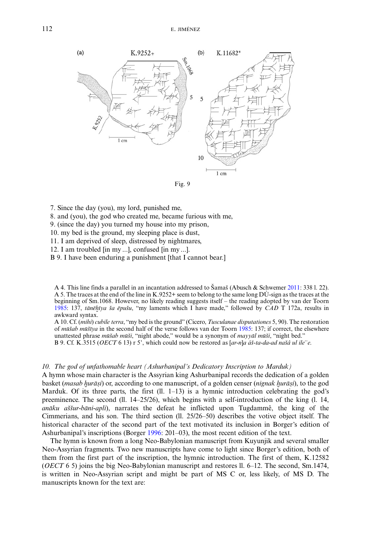<span id="page-13-0"></span>

- 7. Since the day (you), my lord, punished me,
- 8. and (you), the god who created me, became furious with me,
- 9. (since the day) you turned my house into my prison,
- 10. my bed is the ground, my sleeping place is dust,
- 11. I am deprived of sleep, distressed by nightmares,
- 12. I am troubled [in my ...], confused [in my ...].
- B 9. I have been enduring a punishment [that I cannot bear.]

A 4. This line finds a parallel in an incantation addressed to Šamaš (Abusch & Schwemer [2011:](#page-19-0) 338 l. 22). A 5. The traces at the end of the line in K.9252+ seem to belong to the same long DÙ-sign as the traces at the beginning of Sm.1068. However, no likely reading suggests itself – the reading adopted by van der Toorn [1985:](#page-22-0) 137, tānēhīya ša ēpušu, "my laments which I have made," followed by CAD T 172a, results in awkward syntax.

A 10. Cf. (mihi) cubile terra, "my bed is the ground" (Cicero, Tusculanae disputationes 5, 90). The restoration of mūšab mūšīya in the second half of the verse follows van der Toorn [1985:](#page-22-0) 137; if correct, the elsewhere unattested phrase mūšab mūši, "night abode," would be a synonym of mayyāl mūši, "night bed." B 9. Cf. K.3515 (OECT 6 13) r 5', which could now be restored as [ar-n]a áš-ta-da-ad našâ ul ile''e.

### 10. The god of unfathomable heart (Ashurbanipal's Dedicatory Inscription to Marduk)

A hymn whose main character is the Assyrian king Ashurbanipal records the dedication of a golden basket (masab hurāṣi) or, according to one manuscript, of a golden censer (nignak hurāṣi), to the god Marduk. Of its three parts, the first  $(II. 1-13)$  is a hymnic introduction celebrating the god's preeminence. The second (ll. 14–25/26), which begins with a self-introduction of the king (l. 14, anāku aššur-bāni-apli), narrates the defeat he inflicted upon Tugdammê, the king of the Cimmerians, and his son. The third section (ll. 25/26–50) describes the votive object itself. The historical character of the second part of the text motivated its inclusion in Borger's edition of Ashurbanipal's inscriptions (Borger [1996](#page-19-0): 201–03), the most recent edition of the text.

The hymn is known from a long Neo-Babylonian manuscript from Kuyunjik and several smaller Neo-Assyrian fragments. Two new manuscripts have come to light since Borger's edition, both of them from the first part of the inscription, the hymnic introduction. The first of them, K.12582 (OECT 6 5) joins the big Neo-Babylonian manuscript and restores ll. 6–12. The second, Sm.1474, is written in Neo-Assyrian script and might be part of MS C or, less likely, of MS D. The manuscripts known for the text are: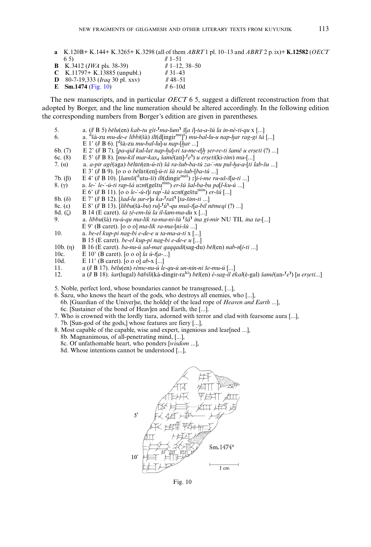- a K.120B+ K.144+ K.3265+ K.3298 (all of them *ABRT* 1 pl. 10–13 and *ABRT* 2 p. ix)+ **K.12582** (*OECT* 6 5)<br>
K.3412 (*IWA* pls. 38-39)<br>  $\begin{array}{ccc} \n\frac{1}{3} & \frac{1}{1} & -51 \\
\frac{1}{2} & 38 & -50\n\end{array}$
- **B** K.3412 (*IWA* pls. 38-39) <br> *N* 1–12,<br> *C* K.11797+ K.13885 (unpubl.) <br> *N* 31–43 **K.11797+ K.13885 (unpubl.)**  $\frac{1}{3}$  31–43<br>80-7-19.333 (*Iraq* 30 pl. xxv)  $\frac{1}{48-51}$ **D** 80-7-19,333 (*Iraq* 30 pl. xxv)  $\#48-51$ <br>**E Sm.1474** (Fig. 10)  $\#6-10d$
- E Sm.1474 (Fig.  $10$ )

The new manuscripts, and in particular *OECT* 6.5, suggest a different reconstruction from that adopted by Borger, and the line numeration should be altered accordingly. In the following edition the corresponding numbers from Borger's edition are given in parentheses.

- 5. a. ( $\#B$  5) bēlu(en) kab-tu gít- $\[ma\text{-}lum\]$  š $\[a\ i\]$ -ta-a-šú la in-né-ti-qu x  $\[...]$ 6.  $a. \frac{d}{d}$ šà-zu mu-de-e libbi(šà) ilī(d[ingir<sup>me</sup>]<sup>š</sup>) mu-bal-lu-u nap-har rag-gi šá [...]  $E 1'$  (  $\# B 6$ ). [<sup>d</sup>šà-zu *mu-bal-lu*]-*u nap-*[har ...] 6b.  $(7)$   $E 2$ ' (# B 7). [pa-qid kul-lat nap-h̥a]-ri ta-me-e[h̥ ṣer-re-ti šamê u erṣeti  $(?) \ldots$ ] 6c. (8) E 5' ( $\ell$  B 8). [mu-kil mar-kas<sub>4</sub> šamê(an]-<sup>[</sup>e<sup>1</sup>) u erseti(ki-tim) mu-[...]<br>7. (a) a. a-pir agê(aga) bēlūti(en-ú-ti) šá ra-šub-ba-tú za-`-nu pul-ha-a-[ti l 7.  $(α)$  a. a-pir agê(aga) bēlūti $(en-ú-ti)$  šá ra-šub-ba-tú za-ʾ-nu pul-ḫa-a-[ti lab-šu ...] E 3' ( $\parallel$  B 9). [o o o  $b\bar{e}$ *lūti*(en]-ú-ti šá ra-šub-[ba-tú ...] 7b. (β) E 4' ( $\parallel$  B 10). [šamši( $^{\text{d}}$ utu-ši) ilī(dingir<sup>meš</sup>) z]i-i-me ru-uš-š[u-ti ...] 8. (γ) a. le- $\iota$ le-'-ú-ti rap-šá uznī (geštu<sup>min</sup>) er-šú šal-ba-bu pa[l-ku-ú ...] E 6' ( // B 11). [o o le-'-ú-t]i rap'-šá uznī (geštu min) er-šú [...] 8b. (δ)  $E 7'$  ( $M \triangleright B 12$ ). [šad-lu sur-r]u ka-「raš<sup>1</sup> [ta-šim-ti ...]<br>8c. (ε)  $E 8'$  ( $M \triangleright B 13$ ). [libbu(šà-bu) ru]-<sup>[</sup>ú<sup>1</sup>-qu muš-t[a-bil n E 8' ( $\parallel$  B 13). [libbu(šà-bu) ru]- $\lceil u \rceil$ -qu muš-t[a-bil nēmeqi (?) ...] 8d. (ζ) B 14 (E caret). *šá tè-em-šú la il-lam-ma-du* x [...]<br>9. a. *libbu*(šà) *ru-ú-au ma-lik ra-ma-ni-šú* <sup>[</sup>*šá] ina gi* a. libbu(šà) ru-ú-qu ma-lik ra-ma-ni-šú <sup>r</sup>šá<sup>1</sup> ina gi-mir NU TIL ina ta-[...] E 9' (B caret). [o o o]  $ma-lik\ ra-ma-[ni-š\u$ ...] 10. a. be-el kup-pi nag-bi e-de-e u ta-ma-a-ti x [...] B 15 (E caret). be-el kup-pi nag-bi e-de-e u [...] 10b. (η) B 16 (E caret). ba-nu-ú sal-mat qaqqadi(sag-du) bēl(en) nab-n[i-ti ...] 10c. E 10' (B caret). [o o o]  $la \dot{u}$ -t[a-...]
- 10d. E 11' (B caret). [o o o] ab-x [...]<br>11. a (// B 17). bēlu(en) réme-nu-ú le
- a ( $\parallel$  B 17).  $b$ ēlu(en) réme-nu-ú le-qu-ú un-nin-ni še-mu-ú [...]
- 12. a ( $\ell$  B 18). šar(lugal) bābili(ká-dingir-ra<sup>ki</sup>) bēl(en) é-sag-íl ēkal(é-gal) šamê(an-<sup>r</sup>e<sup>1</sup>) [u erseti...]

5. Noble, perfect lord, whose boundaries cannot be transgressed, [...],

6. Šazu, who knows the heart of the gods, who destroys all enemies, who [...], 6b. [Guardian of the Univer]se, the holde[r of the lead rope of Heaven and Earth ...], 6c. [Sustainer of the bond of Heav]en and Earth, the [...].

- 7. Who is crowned with the lordly tiara, adorned with terror and clad with fearsome aura [...],
- 7b. [Sun-god of the gods,] whose features are fiery [...],
- 8. Most capable of the capable, wise and expert, ingenious and lear[ned ...],
	- 8b. Magnanimous, of all-penetrating mind, [...],
	- 8c. Of unfathomable heart, who ponders [wisdom ...],
	- 8d. Whose intentions cannot be understood [...],



Fig. 10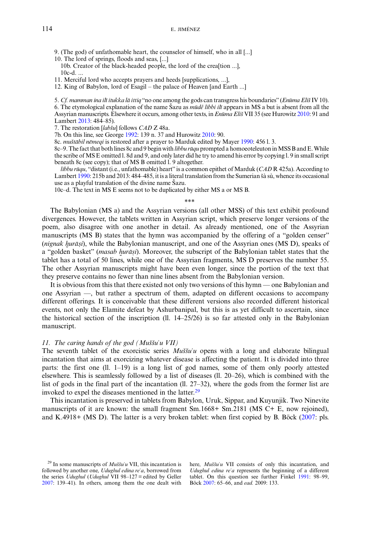9. (The god) of unfathomable heart, the counselor of himself, who in all [...]

10. The lord of springs, floods and seas, [...]

- 10b. Creator of the black-headed people, the lord of the crea[tion ...], 10c-d. ...
- 11. Merciful lord who accepts prayers and heeds [supplications, ...],
- 12. King of Babylon, lord of Esagil the palace of Heaven [and Earth ...]

5. Cf. mamman ina ilī itukka lā ittiq "no one among the gods can transgress his boundaries" (Enūma ElišIV 10). 6. The etymological explanation of the name Šazu as *mūdê libbi ilī* appears in MS a but is absent from all the Assyrian manuscripts. Elsewhere it occurs, among other texts, in *Enūma Eliš* VII 35 (see Hurowitz [2010](#page-20-0): 91 and Lambert [2013:](#page-21-0) 484–85).

7. The restoration [labšu] follows CAD Z 48a.

7b. On this line, see George [1992](#page-20-0): 139 n. 37 and Hurowitz [2010:](#page-20-0) 90.

8c. muštābil nēmeqi is restored after a prayer to Marduk edited by Mayer [1990](#page-21-0): 456 l. 3.

8c–9. The fact that both lines 8c and 9 begin with *libbu rūqu* prompted a homoeoteleuton in MSS B and E. While the scribe of MS E omitted l. 8d and 9, and only later did he try to amend his error by copying l. 9 in small script beneath 8c (see copy); that of MS B omitted l. 9 altogether.

libbu rūqu, "distant (i.e., unfathomable) heart" is a common epithet of Marduk ( $CAD R 425a$ ). According to Lambert [1990](#page-21-0): 215b and 2013: 484–485, it is a literal translation from the Sumerian šà sù, whence its occasional use as a playful translation of the divine name Šazu.

10c–d. The text in MS E seems not to be duplicated by either MS a or MS B.

### \*\*\*

The Babylonian (MS a) and the Assyrian versions (all other MSS) of this text exhibit profound divergences. However, the tablets written in Assyrian script, which preserve longer versions of the poem, also disagree with one another in detail. As already mentioned, one of the Assyrian manuscripts (MS B) states that the hymn was accompanied by the offering of a "golden censer" (nignak hurāsi), while the Babylonian manuscript, and one of the Assyrian ones (MS D), speaks of a "golden basket" (masab hurāṣi). Moreover, the subscript of the Babylonian tablet states that the tablet has a total of 50 lines, while one of the Assyrian fragments, MS D preserves the number 55. The other Assyrian manuscripts might have been even longer, since the portion of the text that they preserve contains no fewer than nine lines absent from the Babylonian version.

It is obvious from this that there existed not only two versions of this hymn — one Babylonian and one Assyrian —, but rather a spectrum of them, adapted on different occasions to accompany different offerings. It is conceivable that these different versions also recorded different historical events, not only the Elamite defeat by Ashurbanipal, but this is as yet difficult to ascertain, since the historical section of the inscription (ll. 14–25/26) is so far attested only in the Babylonian manuscript.

### 11. The caring hands of the god (Muššuʾu VII)

The seventh tablet of the exorcistic series  $Mu\ddot{s}\dot{u}u$  opens with a long and elaborate bilingual incantation that aims at exorcizing whatever disease is affecting the patient. It is divided into three parts: the first one (ll. 1–19) is a long list of god names, some of them only poorly attested elsewhere. This is seamlessly followed by a list of diseases (ll. 20–26), which is combined with the list of gods in the final part of the incantation (ll. 27–32), where the gods from the former list are invoked to expel the diseases mentioned in the latter.<sup>29</sup>

This incantation is preserved in tablets from Babylon, Uruk, Sippar, and Kuyunjik. Two Ninevite manuscripts of it are known: the small fragment Sm.1668+ Sm.2181 (MS C+ E, now rejoined), and K.4918+ (MS D). The latter is a very broken tablet: when first copied by B. Böck ([2007:](#page-19-0) pls.

here, Muššu'u VII consists of only this incantation, and Udughul edina re'a represents the beginning of a different tablet. On this question see further Finkel [1991:](#page-20-0) 98–99, Böck [2007:](#page-19-0) 65–66, and ead. 2009: 133.

<sup>&</sup>lt;sup>29</sup> In some manuscripts of *Muššu*<sup> $\dot{u}$ </sup> VII, this incantation is followed by another one, Udughul edina re'a, borrowed from the series Udughul (Udughul VII 98-127 = edited by Geller [2007:](#page-20-0) 139–41). In others, among them the one dealt with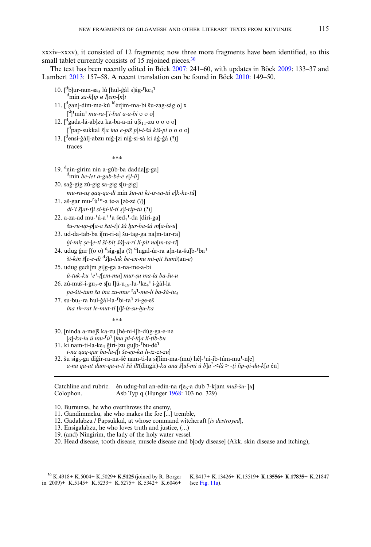xxxiv–xxxv), it consisted of 12 fragments; now three more fragments have been identified, so this small tablet currently consists of 15 rejoined pieces.<sup>30</sup>

The text has been recently edited in Böck [2007](#page-19-0): 241–60, with updates in Böck [2009](#page-19-0): 133–37 and Lambert [2013](#page-21-0): 157–58. A recent translation can be found in Böck [2010:](#page-19-0) 149–50.

- 10.  $\binom{d}{d}$ ur-nun-sa<sub>5</sub> lú [hul-ĝál s]ág-<sup>r</sup>ke<sub>4</sub><sup>1</sup>  $d$ min sa-k[ip ø l]em-[n]i
- 11. [<sup>d</sup>gan]-dìm-me-kù <sup>lú</sup>ér[im-ma-bi šu-zag-ság o] x  $\left[\begin{smallmatrix} d' \end{smallmatrix}\right]$ <sup>r</sup>min<sup>1</sup> *mu-ra-*['*i-bat a-a-bi* o o o]
- 12.  $\left[\mathrm{d}\right]$ gada-lá-ab]zu ka-ba-a-ni u $\left[\mathrm{s}\right]$ <sub>11</sub>-zu o o o o] [<sup>d</sup>pap-sukkal *š]a ina e-piš p[i-i-šú kiš-pi* 0 0 0 0]
- 13. [d ensí-ĝál]-abzu níĝ-[zi níĝ-si-sá ki áĝ-ĝá (?)] traces

\*\*\*

- 19. dnin-gìrim nin a-gúb-ba dadda[g-ga] <sup>d</sup>min *be-let a-gub-bé-e e*[l-li] 20. saĝ-gig zú-gig sa-gig s[u-gig] mu-ru-uṣ qaq-qa-di min šin-ni ki-is-sa-tú e[k-ke-tú] 21. aš-gar mu- $\lceil u \rceil^*$ -a te-a  $[zé-zé (?)]$  $di$ <sup>2</sup>i š $(at$ -t $|i$  si-hi-il-ti s $[i$ -rip-tú (?)] 22. a-za-ad mu- $(i-a)$ <sup> $r_a$ </sup> šed<sub>7</sub><sup>1</sup>-da [diri-ga] šu-ru-up-p[a-a šat-t]i šá h̥ur-ba-šá m[a-lu-u] 23. ud-da-tab-ba i[m-ri-a] šu-tag-ga na[m-tar-ra] hi-mit se-[e-ti ši-bit šá]-a-ri li-pit na[m-ta-ri] 24. udug ĝar [(o o) <sup>d</sup>sìg-g]a (?) <sup>d</sup>lugal-ùr-ra a[n-ta-šu]b-<sup>r</sup>ba<sup>1</sup> ši-kin š[e-e-di <sup>d</sup>š]u-lak be-en-nu mi-qit šamê(an-e)
- 25. udug gedi[m gi]g-ga a-na-me-a-bi  $u$ -tuk-ku  $\lceil e^{\mathsf{T}}-t\rfloor$ em-mu $\lceil m$ u-su ma-la ba-šu-u
- 26. zú-muš-ì-gu<sub>7</sub>-e s[u l]ú-u<sub>19</sub>-lu-<sup>r</sup>ke<sub>4</sub><sup>1</sup> ì-ĝál-la pa-šit-tum ša ina zu-mur  $a^1$ -me-li ba-šá-tu<sub>4</sub>
- 27. su-bu<sub>5</sub>-ra hul-ĝál-la-<sup>r</sup>bi-ta<sup>1</sup> zi-ge-eš ina tir-rat le-mut-ti [l]i-is-su-ḫu-ka

\*\*\*

- 30. [ninda a-me]š ka-zu [hé-ni-í]b-dùg-ga-e-ne  $[a]$ -ka-lu ù mu- $\hat{u}$ ] [ina pi-i-k]a li-tib-bu
- 31. ki nam-ti-la-ke<sub>4</sub> ĝìri-[zu gu]b-<sup>r</sup>bu-dè<sup>1</sup> i-na qaq-qar ba-la-t[i še-ep-ka li-iz-zi-zu]
- $32.$  šu sig<sub>5</sub>-ga diĝir-ra-na-šè nam-ti-la silim-ma-(mu) hé]-<sup>r</sup>ni-íb-túm-mu<sup>1</sup>-n[e] a-na qa-at dam-qa-a-ti šá ilī(dingir)-ka ana š[ul-mi ù b]a<sup>?</sup>-<lá>-ti lip-qi-du-k[a én]

Catchline and rubric. én udug-hul an-edin-na r[ $e_6$ -a dub 7-k]am *muš-šu-*<sup>†</sup>[*u*] Colophon. Asb Typ q (Hunger 1968: 103 no. 329) Asb Typ q (Hunger [1968](#page-20-0): 103 no. 329)

- 11. Gandimmeku, she who makes the foe [...] tremble,
- 12. Gadalabzu / Papsukkal, at whose command witchcraft [is destroyed],
- 13. Ensigalabzu, he who loves truth and justice, (...)
- 19. (and) Ningirim, the lady of the holy water vessel.
- 20. Head disease, tooth disease, muscle disease and b[ody disease] (Akk. skin disease and itching),

 $30$  K.4918+ K.5004+ K.5029+ K.5125 (joined by R. Borger in 2009)+ K.5145+ K.5233+ K.5275+ K.5342+ K.6046+ K.8417+ K.13426+ K.13519+ K.13556+ K.17835+ K.21847 (see [Fig. 11a](#page-17-0)).

<sup>10.</sup> Burnunsa, he who overthrows the enemy,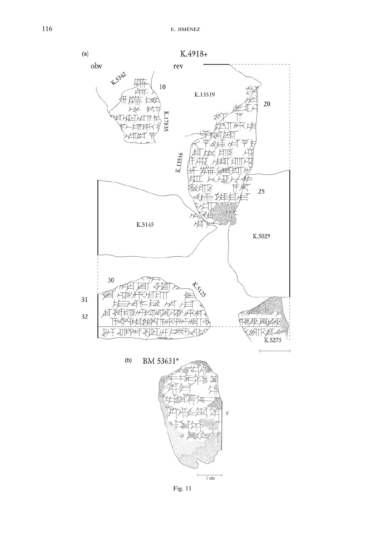<span id="page-17-0"></span>

Fig. 11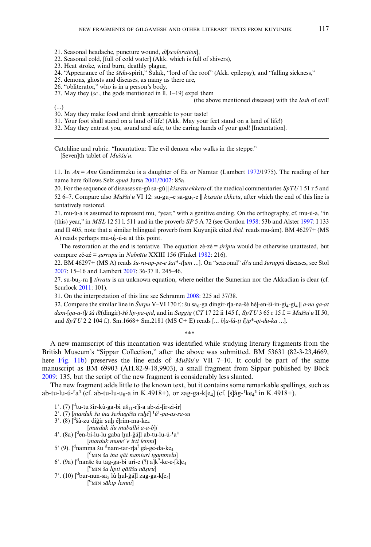21. Seasonal headache, puncture wound, di[scoloration],

22. Seasonal cold, [full of cold water] (Akk. which is full of shivers),

23. Heat stroke, wind burn, deathly plague,

- 24. "Appearance of the *šēdu*-spirit," Sulak, "lord of the roof" (Akk. epilepsy), and "falling sickness,"
- 25. demons, ghosts and diseases, as many as there are,
- 26. "obliterator," who is in a person's body,

(...)

27. May they (sc., the gods mentioned in  $11. 1-19$ ) expel them

(the above mentioned diseases) with the lash of evil!

- 30. May they make food and drink agreeable to your taste!
- 31. Your foot shall stand on a land of life! (Akk. May your feet stand on a land of life!)
- 32. May they entrust you, sound and safe, to the caring hands of your god! [Incantation].

Catchline and rubric. "Incantation: The evil demon who walks in the steppe." [Seven]th tablet of Muššuʾu.

11. In  $An = Anu$  Gandimmeku is a daughter of Ea or Namtar (Lambert [1972/](#page-21-0)1975). The reading of her name here follows Selz apud Jursa [2001/2002:](#page-20-0) 85a.

20. For the sequence of diseases su-gú sa-gú || kissatu ekketu cf. the medical commentaries  $SpTU$  1 51 r 5 and 52 6–7. Compare also Muššu'u VI 12: su-gu<sub>7</sub>-e sa-gu<sub>7</sub>-e || kissatu ekketu, after which the end of this line is tentatively restored.

21. mu-ú-a is assumed to represent mu, "year," with a genitive ending. On the orthography, cf. mu-ú-a, "in (this) year," in MSL 12 51 l. 511 and in the proverb SP 5 A 72 (see Gordon [1958](#page-20-0): 53b and Alster [1997](#page-19-0): I 133 and II 405, note that a similar bilingual proverb from Kuyunjik cited ibid. reads mu-àm). BM 46297+ (MS A) reads perhaps  $mu$ - $u_8^{\dagger}$ -ú-a at this point.

The restoration at the end is tentative. The equation  $z\dot{\epsilon}$  =  $s$ *iriptu* would be otherwise unattested, but compare  $z\acute{e}$ - $z\acute{e}$  = *surrupu* in *Nabnītu* XXIII 156 (Finkel [1982:](#page-20-0) 216).

22. BM 46297+ (MS A) reads  $x - r - \nu$ - $p - e - \delta a t^* - t$ [*um ...*]. On "seasonal" di<sup>'</sup>u and  $x \nu \nu p \nu \hat{u}$  diseases, see Stol [2007:](#page-22-0) 15–16 and Lambert [2007](#page-21-0): 36-37 ll. 245–46.

27. su-bu<sub>5</sub>-ra  $\|$  *tirratu* is an unknown equation, where neither the Sumerian nor the Akkadian is clear (cf. Scurlock [2011:](#page-22-0) 101).

31. On the interpretation of this line see Schramm [2008](#page-22-0): 225 ad 37/38.

32. Compare the similar line in  $\tilde{S}urpu$  V–VI 170 f.; šu sa<sub>6</sub>-ga dingir-r[a-na-šè hé]-en-ši-in-gi<sub>4-</sub>gi<sub>4</sub> || a-na qa-at dam-[qa-a-t]i šá ilī(dingir)-šú lip-pa-qid, and in Saggig (CT 17 22 ii 145 f., SpTU 3 65 r 15 f. = Muššu'u II 50, and  $SpTU$  2 104 f.). Sm.1668+ Sm.2181 (MS C+ E) reads [... b]a-lá-ti  $I$ [ip\*-qi-du-ka ...].

\*\*\*

A new manuscript of this incantation was identified while studying literary fragments from the British Museum's "Sippar Collection," after the above was submitted. BM 53631 (82-3-23,4669, here [Fig. 11b\)](#page-17-0) preserves the line ends of  $Mu\check{s}\check{u'}u$  VII 7–10. It could be part of the same manuscript as BM 69903 (AH.82-9-18,9903), a small fragment from Sippar published by Böck [2009:](#page-19-0) 135, but the script of the new fragment is considerably less slanted.

The new fragment adds little to the known text, but it contains some remarkable spellings, such as ab-tu-lu-ú-<sup>r</sup>a<sup>1</sup> (cf. ab-tu-lu-u<sub>8</sub>-a in K.4918+), or zag-ga-k $[eq]$  (cf.  $[s]$ ág-<sup>r</sup>ke<sub>4</sub><sup>1</sup> in K.4918+).

 $1'.$  (7)  $\lbrack^{\rm d}$ tu-tu šìr-kù-ga-bi uš $_{11}$ -r]i-a ab-zi-[ir-zi-ir]

2'. (7) [marduk ša ina šerkugêšu ruḫê] <sup>r</sup>ú<sup>1</sup>-pa-as-sa-su

3'. (8) [<sup>d</sup>šà-zu diĝir suḫ é]rim-ma-ke<sub>4</sub>

[marduk ilu muballû a-a-b]i

- 4'. (8a) [<sup>d</sup>en-bi-lu-lu gaba ḫul-ĝá]l ab-tu-lu-ú-「a<sup>1</sup> [marduk mune<sup>"</sup>e irti lemni]
- 5' (9). [ $d$ namma šu  $d$ nam-tar-r]a<sup>?</sup> gá-ge-da-ke<sub>4</sub>
- [ d MIN ša ina qāt namtari igammelu]
- 6'. (9a)  $\int_0^d$ nanše šu tag-ga-bi urì-e (?) a]k<sup>2</sup>-ke-e-[k]e<sub>4</sub>

[<sup>d</sup>MIN ša lipit qātīšu nāsiru]

7'. (10) [<sup>d</sup>bur-nun-sa<sub>5</sub> lú hul-ĝá]l zag-ga-k[e<sub>4</sub>] [<sup>d</sup>мін sākip lemni]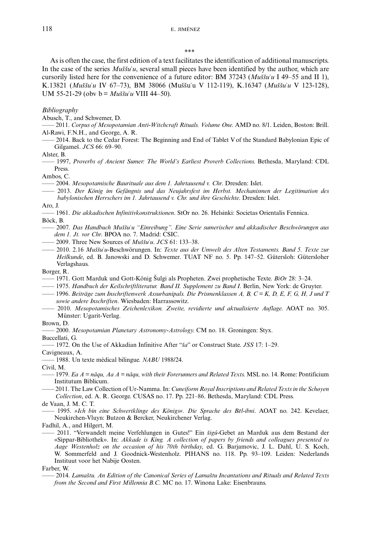<span id="page-19-0"></span>As is often the case, the first edition of a text facilitates the identification of additional manuscripts. In the case of the series  $Mu\ddot{s}\dot{u'}u$ , several small pieces have been identified by the author, which are cursorily listed here for the convenience of a future editor: BM 37243 ( $Mu\check{s}\check{s}u\check{u}$  I 49–55 and II 1), K.13821 (Muššuʾu IV 67–73), BM 38066 (Muššuʾu V 112-119), K.16347 (Muššuʾu V 123-128), UM 55-21-29 (obv b =  $Muššu'u$  VIII 44–50).

### Bibliography

Abusch, T., and Schwemer, D.

—— 2011. Corpus of Mesopotamian Anti-Witchcraft Rituals. Volume One. AMD no. 8/1. Leiden, Boston: Brill. Al-Rawi, F.N.H., and George, A. R.

—— 2014. Back to the Cedar Forest: The Beginning and End of Tablet V of the Standard Babylonian Epic of Gilgameš. JCS 66: 69–90.

Alster, B.

- 1997, Proverbs of Ancient Sumer: The World's Earliest Proverb Collections. Bethesda, Maryland: CDL Press.

Ambos, C.

—— 2004. Mesopotamische Baurituale aus dem 1. Jahrtausend v. Chr. Dresden: Islet.

- —— 2013. Der König im Gefängnis und das Neujahrsfest im Herbst. Mechanismen der Legitimation des babylonischen Herrschers im 1. Jahrtausend v. Chr. und ihre Geschichte. Dresden: Islet. Aro, J.
- 1961. Die akkadischen Infinitivkonstruktionen. StOr no. 26. Helsinki: Societas Orientalis Fennica.

Böck, B.

- —— 2007. Das Handbuch Muššuʾu "Einreibung". Eine Serie sumerischer und akkadischer Beschwörungen aus dem 1. Jt. vor Chr. BPOA no. 7. Madrid: CSIC.
- $-2009$ . Three New Sources of *Muššu'u. JCS* 61: 133–38.
- —— 2010. 2.16 Muššuʾu-Beschwörungen. In: Texte aus der Umwelt des Alten Testaments. Band 5. Texte zur Heilkunde, ed. B. Janowski and D. Schwemer. TUAT NF no. 5. Pp. 147–52. Gütersloh: Gütersloher Verlagshaus.

Borger, R.

- 1971. Gott Marduk und Gott-König Šulgi als Propheten. Zwei prophetische Texte. BiOr 28: 3–24.
- —— 1975. Handbuch der Keilschriftliteratur. Band II. Supplement zu Band I. Berlin, New York: de Gruyter.
- —— 1996. Beiträge zum Inschriftenwerk Assurbanipals. Die Prismenklassen A, B, C = K, D, E, F, G, H, J und T sowie andere Inschriften. Wiesbaden: Harrassowitz.
- —— 2010. Mesopotamisches Zeichenlexikon. Zweite, revidierte und aktualisierte Auflage. AOAT no. 305. Münster: Ugarit-Verlag.

Brown, D.

2000. Mesopotamian Planetary Astronomy-Astrology. CM no. 18. Groningen: Styx.

Buccellati, G.

1972. On the Use of Akkadian Infinitive After "ša" or Construct State. JSS 17: 1-29.

Cavigneaux, A.

1988. Un texte médical bilingue. NABU 1988/24.

Civil, M.

 $-1979$ . Ea  $A = n\hat{a}qu$ , Aa  $A = n\hat{a}qu$ , with their Forerunners and Related Texts. MSL no. 14. Rome: Pontificium Institutum Biblicum.

-2011. The Law Collection of Ur-Namma. In: Cuneiform Royal Inscriptions and Related Texts in the Schøyen Collection, ed. A. R. George. CUSAS no. 17. Pp. 221–86. Bethesda, Maryland: CDL Press.

de Vaan, J. M. C. T.

—— 1995. »Ich bin eine Schwertklinge des Königs«. Die Sprache des Bēl-ibni. AOAT no. 242. Kevelaer, Neukirchen-Vluyn: Butzon & Bercker, Neukirchener Verlag.

Fadhil, A., and Hilgert, M.

—— 2011. "Verwandelt meine Verfehlungen in Gutes!" Ein šigû-Gebet an Marduk aus dem Bestand der «Sippar-Bibliothek». In: Akkade is King. A collection of papers by friends and colleagues presented to Aage Westenholz on the occasion of his 70th birthday, ed. G. Barjamovic, J. L. Dahl, U. S. Koch, W. Sommerfeld and J. Goodnick-Westenholz. PIHANS no. 118. Pp. 93–109. Leiden: Nederlands Instituut voor het Nabije Oosten.

Farber, W.

—— 2014. Lamaštu. An Edition of the Canonical Series of Lamaštu Incantations and Rituals and Related Texts from the Second and First Millennia B.C. MC no. 17. Winona Lake: Eisenbrauns.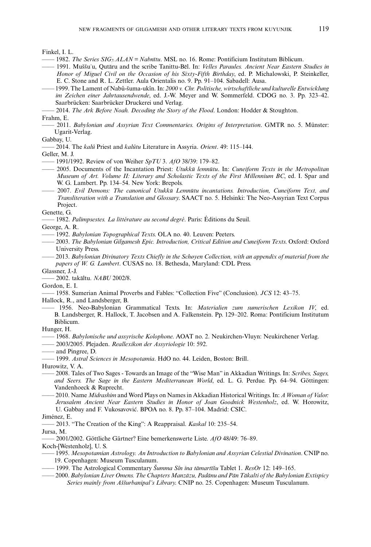<span id="page-20-0"></span>Finkel, I. L.

- $\frac{1982}{1982}$ . The Series SIG<sub>7</sub>.ALAN = Nabnītu. MSL no. 16. Rome: Pontificium Institutum Biblicum.
- 1991. Muššu'u, Qutāru and the scribe Tanittu-Bēl. In: Velles Paraules. Ancient Near Eastern Studies in Honor of Miguel Civil on the Occasion of his Sixty-Fifth Birthday, ed. P. Michalowski, P. Steinkeller, E. C. Stone and R. L. Zettler. Aula Orientalis no. 9. Pp. 91–104. Sabadell: Ausa.
- 1999. The Lament of Nabû-šuma-ukîn. In: 2000 v. Chr. Politische, wirtschaftliche und kulturelle Entwicklung im Zeichen einer Jahrtausendwende, ed. J.-W. Meyer and W. Sommerfeld. CDOG no. 3. Pp. 323–42. Saarbrücken: Saarbrücker Druckerei und Verlag.
- 2014. The Ark Before Noah. Decoding the Story of the Flood. London: Hodder & Stoughton.

- 2011. Babylonian and Assyrian Text Commentaries. Origins of Interpretation. GMTR no. 5. Münster: Ugarit-Verlag.
- Gabbay, U.
- 2014. The kalû Priest and kalûtu Literature in Assyria. Orient. 49: 115-144.

Geller, M. J.

- $-$  1991/1992. Review of von Weiher SpTU 3. AfO 38/39: 179–82.
- 2005. Documents of the Incantation Priest: Utukkū lemnūtu. In: Cuneiform Texts in the Metropolitan Museum of Art. Volume II: Literary and Scholastic Texts of the First Millennium BC, ed. I. Spar and W. G. Lambert. Pp. 134–54. New York: Brepols.
- —— 2007. Evil Demons: The canonical Utukkū Lemnūtu incantations. Introduction, Cuneiform Text, and Transliteration with a Translation and Glossary. SAACT no. 5. Helsinki: The Neo-Assyrian Text Corpus Project.
- Genette, G.
- 1982. Palimpsestes. La littérature au second degré. Paris: Éditions du Seuil.

George, A. R.

- 1992. Babylonian Topographical Texts. OLA no. 40. Leuven: Peeters.
- -2003. The Babylonian Gilgamesh Epic. Introduction, Critical Edition and Cuneiform Texts. Oxford: Oxford University Press.
- —— 2013. Babylonian Divinatory Texts Chiefly in the Schøyen Collection, with an appendix of material from the papers of W. G. Lambert. CUSAS no. 18. Bethesda, Maryland: CDL Press.
- Glassner, **J**-J.
- 2002. takāltu. NABU 2002/8.
- Gordon, E. I.
- —— 1958. Sumerian Animal Proverbs and Fables: "Collection Five" (Conclusion). JCS 12: 43–75.
- Hallock, R., and Landsberger, B.
- 1956. Neo-Babylonian Grammatical Texts. In: Materialien zum sumerischen Lexikon IV, ed. B. Landsberger, R. Hallock, T. Jacobsen and A. Falkenstein. Pp. 129–202. Roma: Pontificium Institutum Biblicum.
- Hunger, H.
- 1968. Babylonische und assyrische Kolophone. AOAT no. 2. Neukirchen-Vluyn: Neukirchener Verlag.
- 2003/2005. Plejaden. Reallexikon der Assyriologie 10: 592.
- and Pingree, D.
- —— 1999. Astral Sciences in Mesopotamia. HdO no. 44. Leiden, Boston: Brill.

Hurowitz, V. A.

- —— 2008. Tales of Two Sages Towards an Image of the "Wise Man" in Akkadian Writings. In: Scribes, Sages, and Seers. The Sage in the Eastern Mediterranean World, ed. L. G. Perdue. Pp. 64–94. Göttingen: Vandenhoeck & Ruprecht.
- 2010. Name Midrashim and Word Plays on Names in Akkadian Historical Writings. In: A Woman of Valor: Jerusalem Ancient Near Eastern Studies in Honor of Joan Goodnick Westenholz, ed. W. Horowitz, U. Gabbay and F. Vukosavović. BPOA no. 8. Pp. 87–104. Madrid: CSIC.
- Jiménez, E.
- 2013. "The Creation of the King": A Reappraisal. Kaskal 10: 235-54.

Jursa, M.

—— 2001/2002. Göttliche Gärtner? Eine bemerkenswerte Liste. AfO 48/49: 76–89.

Koch-[Westenholz], U. S.

- —— 1995. Mesopotamian Astrology. An Introduction to Babylonian and Assyrian Celestial Divination. CNIP no. 19. Copenhagen: Museum Tusculanum.
- 1999. The Astrological Commentary Šumma Sîn ina tāmartīšu Tablet 1. ResOr 12: 149-165.
- —— 2000. Babylonian Liver Omens. The Chapters Manzāzu, Padānu and Pān Tākalti of the Babylonian Extispicy Series mainly from Aššurbanipal's Library. CNIP no. 25. Copenhagen: Museum Tusculanum.

Frahm, E.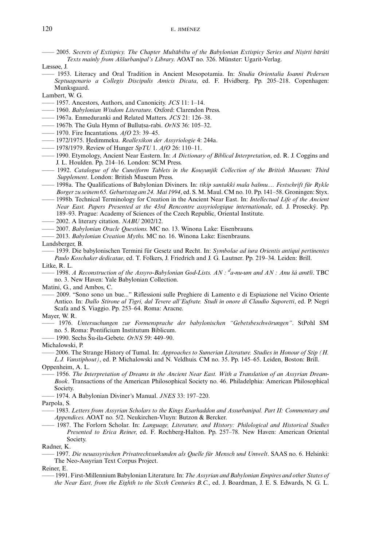<span id="page-21-0"></span>2005. Secrets of Extispicy. The Chapter Multābiltu of the Babylonian Extispicy Series and Nisirti bārûti Texts mainly from Aššurbanipal's Library. AOAT no. 326. Münster: Ugarit-Verlag.

- 1953. Literacy and Oral Tradition in Ancient Mesopotamia. In: Studia Orientalia Ioanni Pedersen Septuagenario a Collegis Discipulis Amicis Dicata, ed. F. Hvidberg. Pp. 205–218. Copenhagen: Munksgaard.

- Lambert, W. G.
- 1957. Ancestors, Authors, and Canonicity. JCS 11: 1-14.
- 1960. Babylonian Wisdom Literature. Oxford: Clarendon Press.
- —— 1967a. Enmeduranki and Related Matters. JCS 21: 126–38.
- $-1967b$ . The Gula Hymn of Bullutsa-rabi. *OrNS* 36: 105–32.
- $-1970$ . Fire Incantations.  $AfO$  23: 39–45.
- —— 1972/1975. Ḫedimmeku. Reallexikon der Assyriologie 4: 244a.
- $-$  1978/1979. Review of Hunger SpTU 1. AfO 26: 110–11.
- <sup>219</sup> 1990. Etymology, Ancient Near Eastern. In: A Dictionary of Biblical Interpretation, ed. R. J. Coggins and J. L. Houlden. Pp. 214–16. London: SCM Press.
- —— 1992. Catalogue of the Cuneiform Tablets in the Kouyunjik Collection of the British Museum: Third Supplement. London: British Museum Press.

— 1998a. The Qualifications of Babylonian Diviners. In: tikip santakki mala bašmu.... Festschrift für Rykle Borger zu seinem 65. Geburtstag am 24. Mai 1994, ed. S. M. Maul. CM no. 10. Pp. 141–58. Groningen: Styx.

— 1998b. Technical Terminology for Creation in the Ancient Near East. In: *Intellectual Life of the Ancient* Near East. Papers Presented at the 43rd Rencontre assyriologique internationale, ed. J. Prosecký. Pp. 189–93. Prague: Academy of Sciences of the Czech Republic, Oriental Institute.

- 2002. A literary citation. NABU 2002/12.
- 2007. Babylonian Oracle Questions. MC no. 13. Winona Lake: Eisenbrauns.
- 2013. Babylonian Creation Myths. MC no. 16. Winona Lake: Eisenbrauns.

Landsberger, B.

- 1939. Die babylonischen Termini für Gesetz und Recht. In: Symbolae ad iura Orientis antiqui pertinentes Paulo Koschaker dedicatae, ed. T. Folkers, J. Friedrich and J. G. Lautner. Pp. 219–34. Leiden: Brill. Litke, R. L.

<sup>1998</sup>. A Reconstruction of the Assyro-Babylonian God-Lists. AN : <sup>d</sup>a-nu-um and AN : Anu šá amēli. TBC no. 3. New Haven: Yale Babylonian Collection.

Matini, G., and Ambos, C.

—— 2009. "Sono sono un bue..." Riflessioni sulle Preghiere di Lamento e di Espiazione nel Vicino Oriente Antico. In: Dallo Stirone al Tigri, dal Tevere all'Eufrate. Studi in onore di Claudio Saporetti, ed. P. Negri Scafa and S. Viaggio. Pp. 253–64. Roma: Aracne.

Mayer, W. R.

—— 1976. Untersuchungen zur Formensprache der babylonischen "Gebetsbeschwörungen". StPohl SM no. 5. Roma: Pontificium Institutum Biblicum.

 $-1990.$  Sechs Šu-ila-Gebete. *OrNS* 59: 449–90.

Michalowski, P.

2006. The Strange History of Tumal. In: Approaches to Sumerian Literature. Studies in Honour of Stip (H. L.J. Vanstiphout), ed. P. Michalowski and N. Veldhuis. CM no. 35. Pp. 145–65. Leiden, Boston: Brill. Oppenheim, A. L.

1956. The Interpretation of Dreams in the Ancient Near East. With a Translation of an Assyrian Dream-Book. Transactions of the American Philosophical Society no. 46. Philadelphia: American Philosophical Society.

—— 1974. A Babylonian Diviner's Manual. JNES 33: 197–220.

Parpola, S.

—— 1983. Letters from Assyrian Scholars to the Kings Esarhaddon and Assurbanipal. Part II: Commentary and Appendices. AOAT no. 5/2. Neukirchen-Vluyn: Butzon & Bercker.

- 1987. The Forlorn Scholar. In: Language, Literature, and History: Philological and Historical Studies Presented to Erica Reiner, ed. F. Rochberg-Halton. Pp. 257–78. New Haven: American Oriental Society.

Radner, K.

1997. Die neuassyrischen Privatrechtsurkunden als Quelle für Mensch und Umwelt. SAAS no. 6. Helsinki: The Neo-Assyrian Text Corpus Project.

Reiner, E.

1991. First-Millennium Babylonian Literature. In: The Assyrian and Babylonian Empires and other States of the Near East, from the Eighth to the Sixth Centuries B.C., ed. J. Boardman, J. E. S. Edwards, N. G. L.

Læssøe, J.